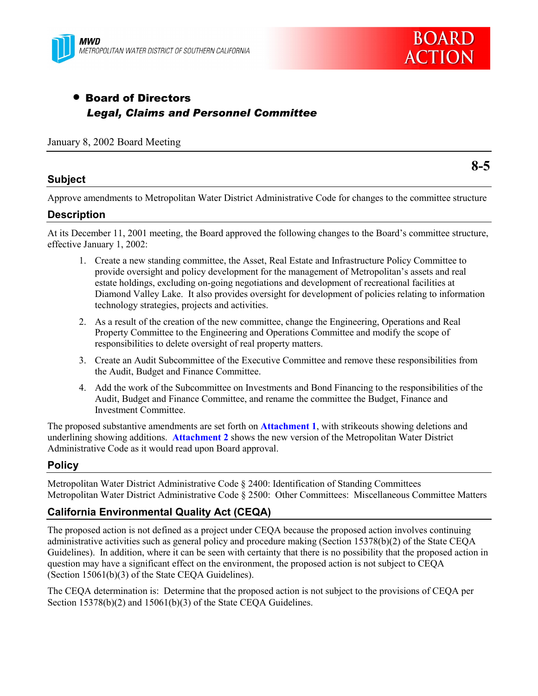



# • Board of Directors  *Legal, Claims and Personnel Committee*

#### January 8, 2002 Board Meeting

#### **Subject**

**8-5**

Approve amendments to Metropolitan Water District Administrative Code for changes to the committee structure

## **Description**

At its December 11, 2001 meeting, the Board approved the following changes to the Board's committee structure, effective January 1, 2002:

- 1. Create a new standing committee, the Asset, Real Estate and Infrastructure Policy Committee to provide oversight and policy development for the management of Metropolitan's assets and real estate holdings, excluding on-going negotiations and development of recreational facilities at Diamond Valley Lake. It also provides oversight for development of policies relating to information technology strategies, projects and activities.
- 2. As a result of the creation of the new committee, change the Engineering, Operations and Real Property Committee to the Engineering and Operations Committee and modify the scope of responsibilities to delete oversight of real property matters.
- 3. Create an Audit Subcommittee of the Executive Committee and remove these responsibilities from the Audit, Budget and Finance Committee.
- 4. Add the work of the Subcommittee on Investments and Bond Financing to the responsibilities of the Audit, Budget and Finance Committee, and rename the committee the Budget, Finance and Investment Committee.

The proposed substantive amendments are set forth on **Attachment 1**, with strikeouts showing deletions and underlining showing additions. **Attachment 2** shows the new version of the Metropolitan Water District Administrative Code as it would read upon Board approval.

## **Policy**

Metropolitan Water District Administrative Code ß 2400: Identification of Standing Committees Metropolitan Water District Administrative Code ß 2500: Other Committees: Miscellaneous Committee Matters

# **California Environmental Quality Act (CEQA)**

The proposed action is not defined as a project under CEQA because the proposed action involves continuing administrative activities such as general policy and procedure making (Section 15378(b)(2) of the State CEQA Guidelines). In addition, where it can be seen with certainty that there is no possibility that the proposed action in question may have a significant effect on the environment, the proposed action is not subject to CEQA (Section 15061(b)(3) of the State CEQA Guidelines).

The CEQA determination is: Determine that the proposed action is not subject to the provisions of CEQA per Section 15378(b)(2) and 15061(b)(3) of the State CEQA Guidelines.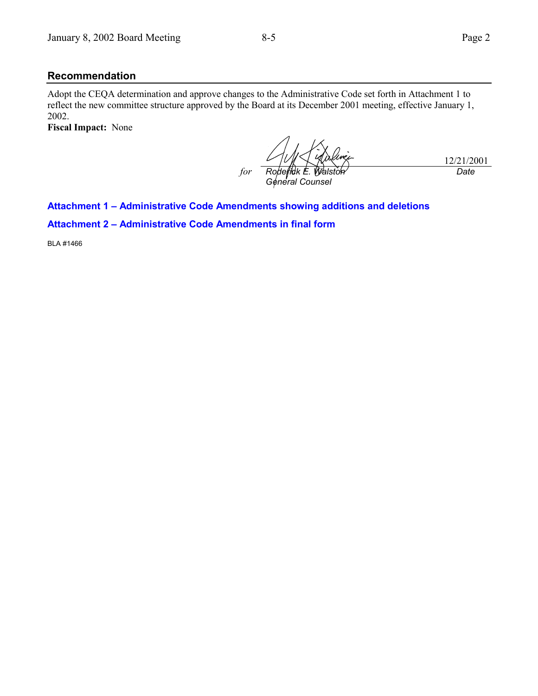#### **Recommendation**

Adopt the CEQA determination and approve changes to the Administrative Code set forth in Attachment 1 to reflect the new committee structure approved by the Board at its December 2001 meeting, effective January 1, 2002.

**Fiscal Impact:** None

*for Roderick E. Walston General Counsel*

12/21/2001 *Date*

#### **Attachment 1 - Administrative Code Amendments showing additions and deletions**

**Attachment 2 - Administrative Code Amendments in final form** 

BLA #1466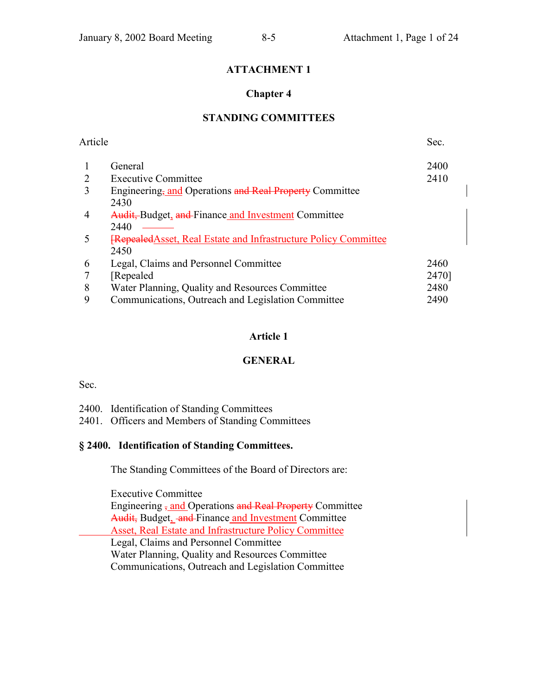# **ATTACHMENT 1**

## **Chapter 4**

# **STANDING COMMITTEES**

| Article |                                                                                 | Sec.  |
|---------|---------------------------------------------------------------------------------|-------|
|         | General                                                                         | 2400  |
|         | <b>Executive Committee</b>                                                      | 2410  |
| 3       | Engineering, and Operations and Real Property Committee<br>2430                 |       |
|         | <b>Audit, Budget, and Finance and Investment Committee</b><br>2440              |       |
|         | <b>FRepealed Asset, Real Estate and Infrastructure Policy Committee</b><br>2450 |       |
| 6       | Legal, Claims and Personnel Committee                                           | 2460  |
|         | [Repealed]                                                                      | 2470] |
| 8       | Water Planning, Quality and Resources Committee                                 | 2480  |
| 9       | Communications, Outreach and Legislation Committee                              | 2490  |

# **Article 1**

## **GENERAL**

Sec.

- 2400. Identification of Standing Committees
- 2401. Officers and Members of Standing Committees

## **ß 2400. Identification of Standing Committees.**

The Standing Committees of the Board of Directors are:

Executive Committee

Engineering <sub>7</sub> and Operations and Real Property Committee Audit, Budget, and Finance and Investment Committee Asset, Real Estate and Infrastructure Policy Committee Legal, Claims and Personnel Committee Water Planning, Quality and Resources Committee Communications, Outreach and Legislation Committee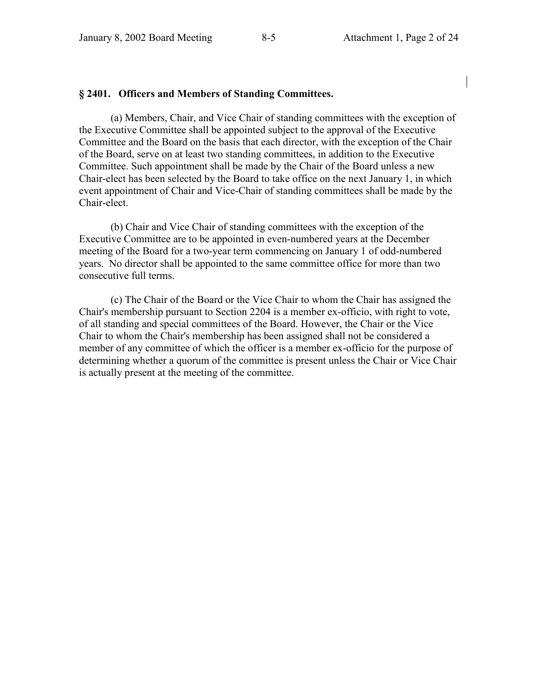#### **ß 2401. Officers and Members of Standing Committees.**

(a) Members, Chair, and Vice Chair of standing committees with the exception of the Executive Committee shall be appointed subject to the approval of the Executive Committee and the Board on the basis that each director, with the exception of the Chair of the Board, serve on at least two standing committees, in addition to the Executive Committee. Such appointment shall be made by the Chair of the Board unless a new Chair-elect has been selected by the Board to take office on the next January 1, in which event appointment of Chair and Vice-Chair of standing committees shall be made by the Chair-elect.

(b) Chair and Vice Chair of standing committees with the exception of the Executive Committee are to be appointed in even-numbered years at the December meeting of the Board for a two-year term commencing on January 1 of odd-numbered years. No director shall be appointed to the same committee office for more than two consecutive full terms.

(c) The Chair of the Board or the Vice Chair to whom the Chair has assigned the Chair's membership pursuant to Section 2204 is a member ex-officio, with right to vote, of all standing and special committees of the Board. However, the Chair or the Vice Chair to whom the Chair's membership has been assigned shall not be considered a member of any committee of which the officer is a member ex-officio for the purpose of determining whether a quorum of the committee is present unless the Chair or Vice Chair is actually present at the meeting of the committee.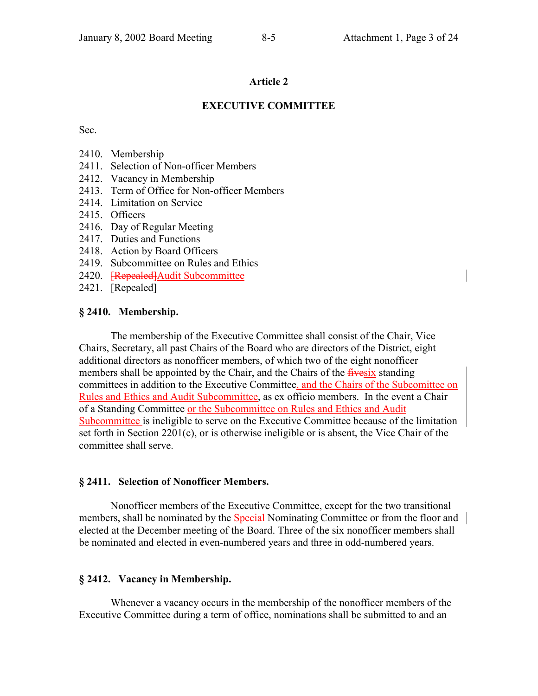### **EXECUTIVE COMMITTEE**

Sec.

- 2410. Membership
- 2411. Selection of Non-officer Members
- 2412. Vacancy in Membership
- 2413. Term of Office for Non-officer Members
- 2414. Limitation on Service
- 2415. Officers
- 2416. Day of Regular Meeting
- 2417. Duties and Functions
- 2418. Action by Board Officers
- 2419. Subcommittee on Rules and Ethics
- 2420. **[Repealed]** Audit Subcommittee
- 2421. [Repealed]

#### **ß 2410. Membership.**

The membership of the Executive Committee shall consist of the Chair, Vice Chairs, Secretary, all past Chairs of the Board who are directors of the District, eight additional directors as nonofficer members, of which two of the eight nonofficer members shall be appointed by the Chair, and the Chairs of the *fivesix* standing committees in addition to the Executive Committee, and the Chairs of the Subcomittee on Rules and Ethics and Audit Subcommittee, as ex officio members. In the event a Chair of a Standing Committee or the Subcommittee on Rules and Ethics and Audit Subcommittee is ineligible to serve on the Executive Committee because of the limitation set forth in Section 2201(c), or is otherwise ineligible or is absent, the Vice Chair of the committee shall serve.

#### **ß 2411. Selection of Nonofficer Members.**

Nonofficer members of the Executive Committee, except for the two transitional members, shall be nominated by the Special Nominating Committee or from the floor and elected at the December meeting of the Board. Three of the six nonofficer members shall be nominated and elected in even-numbered years and three in odd-numbered years.

## **ß 2412. Vacancy in Membership.**

Whenever a vacancy occurs in the membership of the nonofficer members of the Executive Committee during a term of office, nominations shall be submitted to and an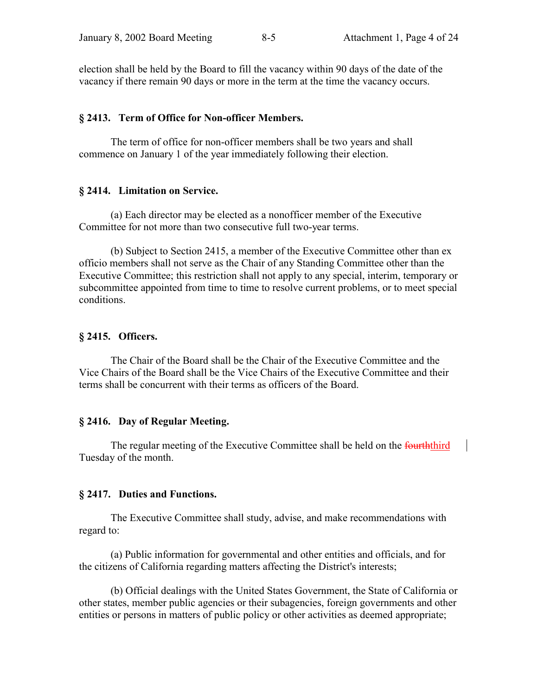election shall be held by the Board to fill the vacancy within 90 days of the date of the vacancy if there remain 90 days or more in the term at the time the vacancy occurs.

#### **ß 2413. Term of Office for Non-officer Members.**

The term of office for non-officer members shall be two years and shall commence on January 1 of the year immediately following their election.

#### **ß 2414. Limitation on Service.**

(a) Each director may be elected as a nonofficer member of the Executive Committee for not more than two consecutive full two-year terms.

(b) Subject to Section 2415, a member of the Executive Committee other than ex officio members shall not serve as the Chair of any Standing Committee other than the Executive Committee; this restriction shall not apply to any special, interim, temporary or subcommittee appointed from time to time to resolve current problems, or to meet special conditions.

#### **ß 2415. Officers.**

The Chair of the Board shall be the Chair of the Executive Committee and the Vice Chairs of the Board shall be the Vice Chairs of the Executive Committee and their terms shall be concurrent with their terms as officers of the Board.

#### **ß 2416. Day of Regular Meeting.**

The regular meeting of the Executive Committee shall be held on the fourththird Tuesday of the month.

#### **ß 2417. Duties and Functions.**

The Executive Committee shall study, advise, and make recommendations with regard to:

(a) Public information for governmental and other entities and officials, and for the citizens of California regarding matters affecting the District's interests;

(b) Official dealings with the United States Government, the State of California or other states, member public agencies or their subagencies, foreign governments and other entities or persons in matters of public policy or other activities as deemed appropriate;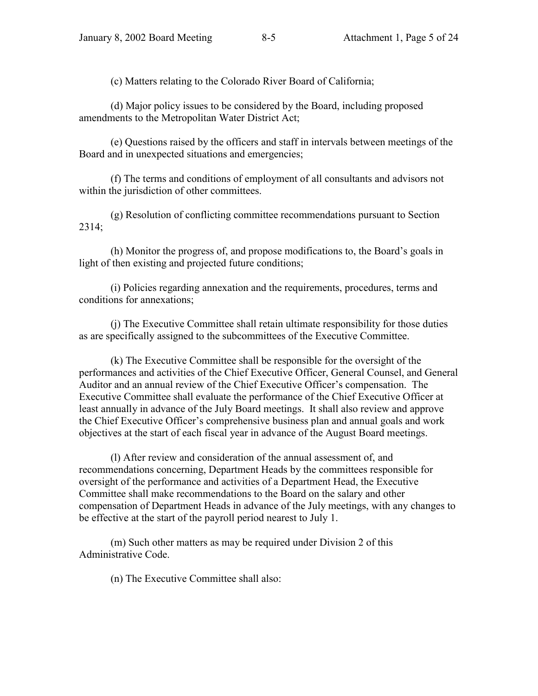(c) Matters relating to the Colorado River Board of California;

(d) Major policy issues to be considered by the Board, including proposed amendments to the Metropolitan Water District Act;

(e) Questions raised by the officers and staff in intervals between meetings of the Board and in unexpected situations and emergencies;

(f) The terms and conditions of employment of all consultants and advisors not within the jurisdiction of other committees.

(g) Resolution of conflicting committee recommendations pursuant to Section 2314;

(h) Monitor the progress of, and propose modifications to, the Board's goals in light of then existing and projected future conditions;

(i) Policies regarding annexation and the requirements, procedures, terms and conditions for annexations;

(j) The Executive Committee shall retain ultimate responsibility for those duties as are specifically assigned to the subcommittees of the Executive Committee.

(k) The Executive Committee shall be responsible for the oversight of the performances and activities of the Chief Executive Officer, General Counsel, and General Auditor and an annual review of the Chief Executive Officer's compensation. The Executive Committee shall evaluate the performance of the Chief Executive Officer at least annually in advance of the July Board meetings. It shall also review and approve the Chief Executive Officer's comprehensive business plan and annual goals and work objectives at the start of each fiscal year in advance of the August Board meetings.

(l) After review and consideration of the annual assessment of, and recommendations concerning, Department Heads by the committees responsible for oversight of the performance and activities of a Department Head, the Executive Committee shall make recommendations to the Board on the salary and other compensation of Department Heads in advance of the July meetings, with any changes to be effective at the start of the payroll period nearest to July 1.

(m) Such other matters as may be required under Division 2 of this Administrative Code.

(n) The Executive Committee shall also: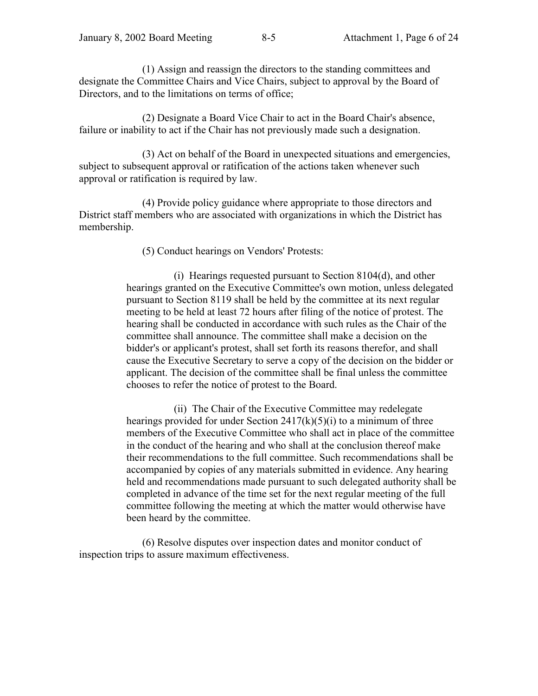(1) Assign and reassign the directors to the standing committees and designate the Committee Chairs and Vice Chairs, subject to approval by the Board of Directors, and to the limitations on terms of office;

(2) Designate a Board Vice Chair to act in the Board Chair's absence, failure or inability to act if the Chair has not previously made such a designation.

(3) Act on behalf of the Board in unexpected situations and emergencies, subject to subsequent approval or ratification of the actions taken whenever such approval or ratification is required by law.

(4) Provide policy guidance where appropriate to those directors and District staff members who are associated with organizations in which the District has membership.

(5) Conduct hearings on Vendors' Protests:

(i) Hearings requested pursuant to Section 8104(d), and other hearings granted on the Executive Committee's own motion, unless delegated pursuant to Section 8119 shall be held by the committee at its next regular meeting to be held at least 72 hours after filing of the notice of protest. The hearing shall be conducted in accordance with such rules as the Chair of the committee shall announce. The committee shall make a decision on the bidder's or applicant's protest, shall set forth its reasons therefor, and shall cause the Executive Secretary to serve a copy of the decision on the bidder or applicant. The decision of the committee shall be final unless the committee chooses to refer the notice of protest to the Board.

(ii) The Chair of the Executive Committee may redelegate hearings provided for under Section  $2417(k)(5)(i)$  to a minimum of three members of the Executive Committee who shall act in place of the committee in the conduct of the hearing and who shall at the conclusion thereof make their recommendations to the full committee. Such recommendations shall be accompanied by copies of any materials submitted in evidence. Any hearing held and recommendations made pursuant to such delegated authority shall be completed in advance of the time set for the next regular meeting of the full committee following the meeting at which the matter would otherwise have been heard by the committee.

(6) Resolve disputes over inspection dates and monitor conduct of inspection trips to assure maximum effectiveness.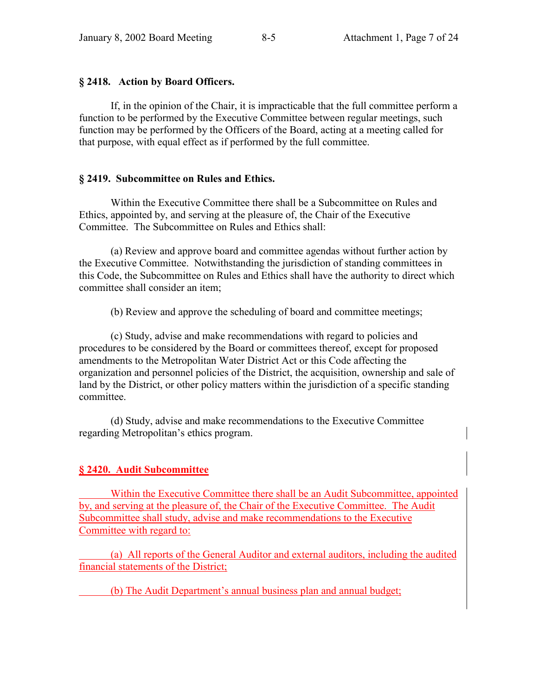#### **ß 2418. Action by Board Officers.**

If, in the opinion of the Chair, it is impracticable that the full committee perform a function to be performed by the Executive Committee between regular meetings, such function may be performed by the Officers of the Board, acting at a meeting called for that purpose, with equal effect as if performed by the full committee.

#### **ß 2419. Subcommittee on Rules and Ethics.**

Within the Executive Committee there shall be a Subcommittee on Rules and Ethics, appointed by, and serving at the pleasure of, the Chair of the Executive Committee. The Subcommittee on Rules and Ethics shall:

(a) Review and approve board and committee agendas without further action by the Executive Committee. Notwithstanding the jurisdiction of standing committees in this Code, the Subcommittee on Rules and Ethics shall have the authority to direct which committee shall consider an item;

(b) Review and approve the scheduling of board and committee meetings;

(c) Study, advise and make recommendations with regard to policies and procedures to be considered by the Board or committees thereof, except for proposed amendments to the Metropolitan Water District Act or this Code affecting the organization and personnel policies of the District, the acquisition, ownership and sale of land by the District, or other policy matters within the jurisdiction of a specific standing committee.

(d) Study, advise and make recommendations to the Executive Committee regarding Metropolitan's ethics program.

## **ß 2420. Audit Subcommittee**

 Within the Executive Committee there shall be an Audit Subcommittee, appointed by, and serving at the pleasure of, the Chair of the Executive Committee. The Audit Subcommittee shall study, advise and make recommendations to the Executive Committee with regard to:

 (a) All reports of the General Auditor and external auditors, including the audited financial statements of the District;

(b) The Audit Department's annual business plan and annual budget;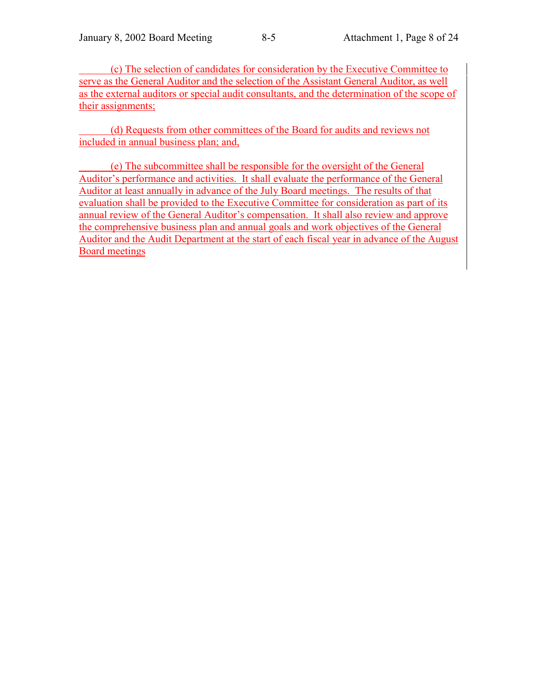(c) The selection of candidates for consideration by the Executive Committee to serve as the General Auditor and the selection of the Assistant General Auditor, as well as the external auditors or special audit consultants, and the determination of the scope of their assignments;

 (d) Requests from other committees of the Board for audits and reviews not included in annual business plan; and,

 (e) The subcommittee shall be responsible for the oversight of the General Auditor's performance and activities. It shall evaluate the performance of the General Auditor at least annually in advance of the July Board meetings. The results of that evaluation shall be provided to the Executive Committee for consideration as part of its annual review of the General Auditor's compensation. It shall also review and approve the comprehensive business plan and annual goals and work objectives of the General Auditor and the Audit Department at the start of each fiscal year in advance of the August Board meetings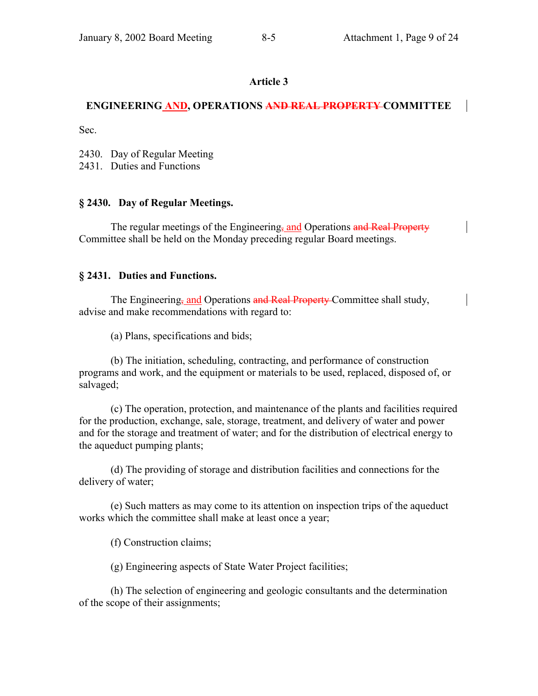## **ENGINEERING AND, OPERATIONS AND REAL PROPERTY COMMITTEE**

Sec.

2430. Day of Regular Meeting

2431. Duties and Functions

## **ß 2430. Day of Regular Meetings.**

The regular meetings of the Engineering, and Operations and Real Property Committee shall be held on the Monday preceding regular Board meetings.

#### **ß 2431. Duties and Functions.**

The Engineering<sub>5</sub> and Operations and Real Property Committee shall study. advise and make recommendations with regard to:

(a) Plans, specifications and bids;

(b) The initiation, scheduling, contracting, and performance of construction programs and work, and the equipment or materials to be used, replaced, disposed of, or salvaged;

(c) The operation, protection, and maintenance of the plants and facilities required for the production, exchange, sale, storage, treatment, and delivery of water and power and for the storage and treatment of water; and for the distribution of electrical energy to the aqueduct pumping plants;

(d) The providing of storage and distribution facilities and connections for the delivery of water;

(e) Such matters as may come to its attention on inspection trips of the aqueduct works which the committee shall make at least once a year;

(f) Construction claims;

(g) Engineering aspects of State Water Project facilities;

(h) The selection of engineering and geologic consultants and the determination of the scope of their assignments;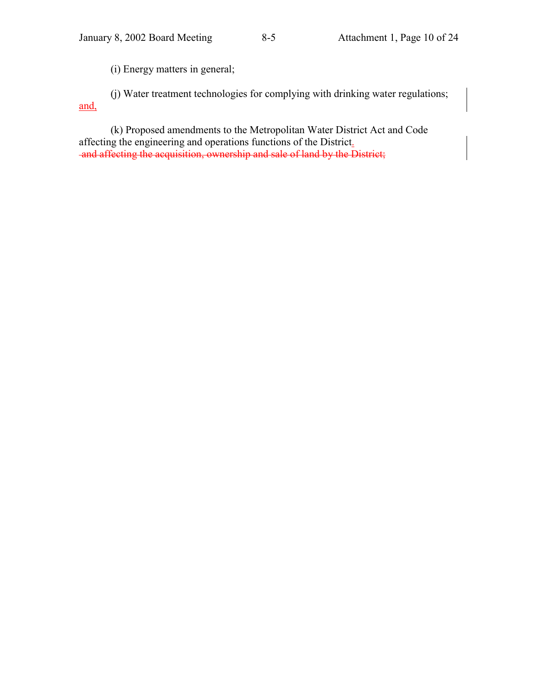(i) Energy matters in general;

(j) Water treatment technologies for complying with drinking water regulations; and,

(k) Proposed amendments to the Metropolitan Water District Act and Code affecting the engineering and operations functions of the District. and affecting the acquisition, ownership and sale of land by the District;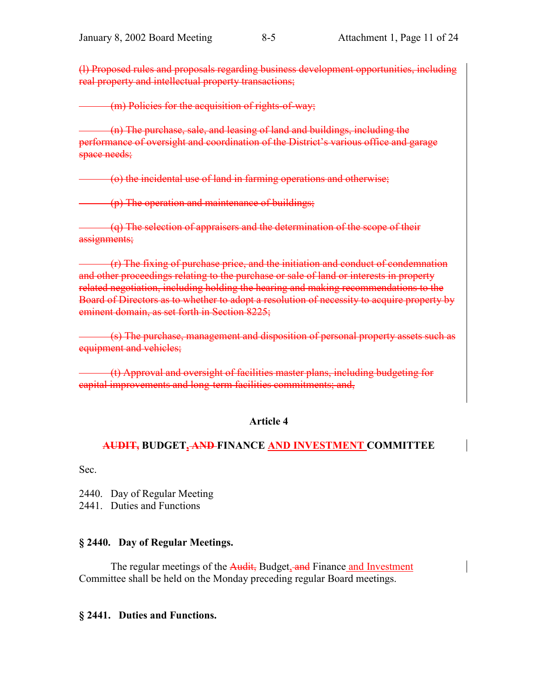(l) Proposed rules and proposals regarding business development opportunities, including real property and intellectual property transactions;

(m) Policies for the acquisition of rights-of-way;

 (n) The purchase, sale, and leasing of land and buildings, including the performance of oversight and coordination of the District's various office and garage space needs;

(o) the incidental use of land in farming operations and otherwise;

(p) The operation and maintenance of buildings;

 (q) The selection of appraisers and the determination of the scope of their assignments;

 (r) The fixing of purchase price, and the initiation and conduct of condemnation and other proceedings relating to the purchase or sale of land or interests in property related negotiation, including holding the hearing and making recommendations to the Board of Directors as to whether to adopt a resolution of necessity to acquire property by eminent domain, as set forth in Section 8225;

 (s) The purchase, management and disposition of personal property assets such as equipment and vehicles;

 (t) Approval and oversight of facilities master plans, including budgeting for capital improvements and long-term facilities commitments; and,

## **Article 4**

# **AUDIT, BUDGET, AND FINANCE AND INVESTMENT COMMITTEE**

Sec.

2440. Day of Regular Meeting

2441. Duties and Functions

#### **ß 2440. Day of Regular Meetings.**

The regular meetings of the Audit, Budget, and Finance and Investment Committee shall be held on the Monday preceding regular Board meetings.

#### **ß 2441. Duties and Functions.**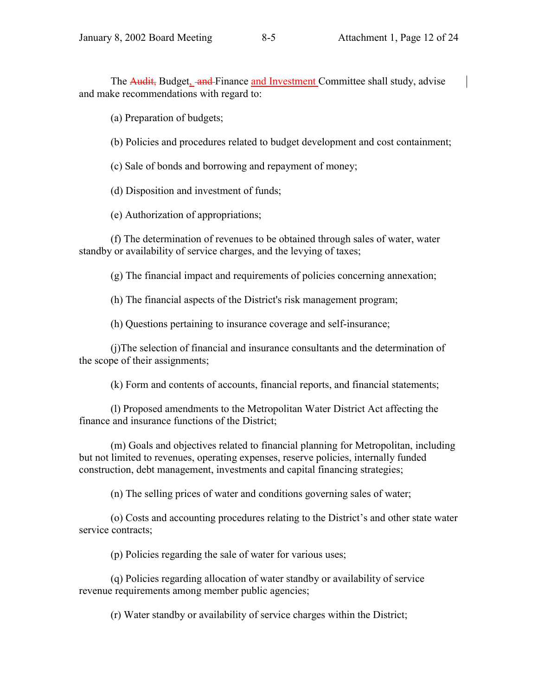The **Audit**, Budget, and Finance and Investment Committee shall study, advise and make recommendations with regard to:

(a) Preparation of budgets;

- (b) Policies and procedures related to budget development and cost containment;
- (c) Sale of bonds and borrowing and repayment of money;

(d) Disposition and investment of funds;

(e) Authorization of appropriations;

(f) The determination of revenues to be obtained through sales of water, water standby or availability of service charges, and the levying of taxes;

(g) The financial impact and requirements of policies concerning annexation;

(h) The financial aspects of the District's risk management program;

(h) Questions pertaining to insurance coverage and self-insurance;

(j)The selection of financial and insurance consultants and the determination of the scope of their assignments;

(k) Form and contents of accounts, financial reports, and financial statements;

(l) Proposed amendments to the Metropolitan Water District Act affecting the finance and insurance functions of the District;

(m) Goals and objectives related to financial planning for Metropolitan, including but not limited to revenues, operating expenses, reserve policies, internally funded construction, debt management, investments and capital financing strategies;

(n) The selling prices of water and conditions governing sales of water;

(o) Costs and accounting procedures relating to the District's and other state water service contracts;

(p) Policies regarding the sale of water for various uses;

(q) Policies regarding allocation of water standby or availability of service revenue requirements among member public agencies;

(r) Water standby or availability of service charges within the District;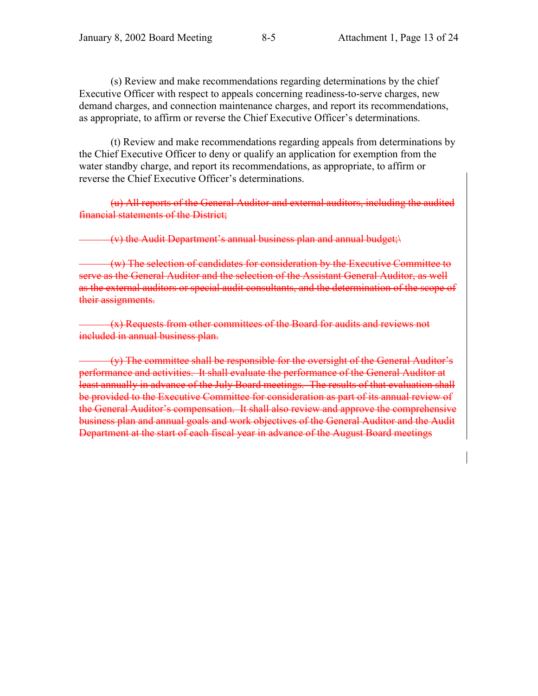(s) Review and make recommendations regarding determinations by the chief Executive Officer with respect to appeals concerning readiness-to-serve charges, new demand charges, and connection maintenance charges, and report its recommendations, as appropriate, to affirm or reverse the Chief Executive Officer's determinations.

(t) Review and make recommendations regarding appeals from determinations by the Chief Executive Officer to deny or qualify an application for exemption from the water standby charge, and report its recommendations, as appropriate, to affirm or reverse the Chief Executive Officer's determinations.

(u) All reports of the General Auditor and external auditors, including the audited financial statements of the District;

(v) the Audit Department's annual business plan and annual budget; $\langle \rangle$ 

 (w) The selection of candidates for consideration by the Executive Committee to serve as the General Auditor and the selection of the Assistant General Auditor, as well as the external auditors or special audit consultants, and the determination of the scope of their assignments.

 (x) Requests from other committees of the Board for audits and reviews not included in annual business plan.

 (y) The committee shall be responsible for the oversight of the General Auditorís performance and activities. It shall evaluate the performance of the General Auditor at least annually in advance of the July Board meetings. The results of that evaluation shall be provided to the Executive Committee for consideration as part of its annual review of the General Auditor's compensation. It shall also review and approve the comprehensive business plan and annual goals and work objectives of the General Auditor and the Audit Department at the start of each fiscal year in advance of the August Board meetings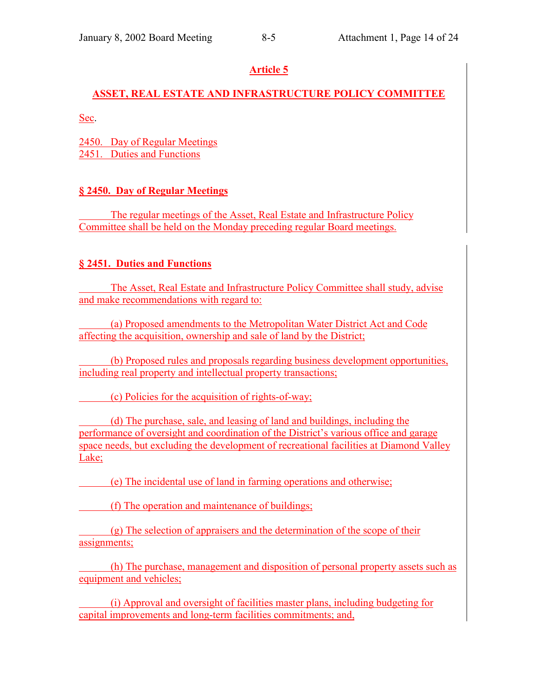# **ASSET, REAL ESTATE AND INFRASTRUCTURE POLICY COMMITTEE**

Sec.

2450. Day of Regular Meetings 2451. Duties and Functions

# **ß 2450. Day of Regular Meetings**

The regular meetings of the Asset, Real Estate and Infrastructure Policy Committee shall be held on the Monday preceding regular Board meetings.

# **ß 2451. Duties and Functions**

 The Asset, Real Estate and Infrastructure Policy Committee shall study, advise and make recommendations with regard to:

 (a) Proposed amendments to the Metropolitan Water District Act and Code affecting the acquisition, ownership and sale of land by the District;

 (b) Proposed rules and proposals regarding business development opportunities, including real property and intellectual property transactions;

(c) Policies for the acquisition of rights-of-way;

 (d) The purchase, sale, and leasing of land and buildings, including the performance of oversight and coordination of the District's various office and garage space needs, but excluding the development of recreational facilities at Diamond Valley Lake;

(e) The incidental use of land in farming operations and otherwise;

(f) The operation and maintenance of buildings;

 (g) The selection of appraisers and the determination of the scope of their assignments;

 (h) The purchase, management and disposition of personal property assets such as equipment and vehicles;

 (i) Approval and oversight of facilities master plans, including budgeting for capital improvements and long-term facilities commitments; and,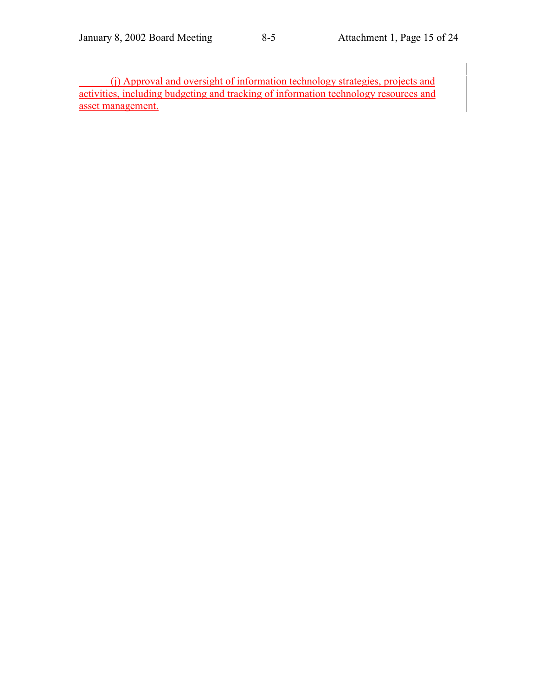(j) Approval and oversight of information technology strategies, projects and activities, including budgeting and tracking of information technology resources and asset management.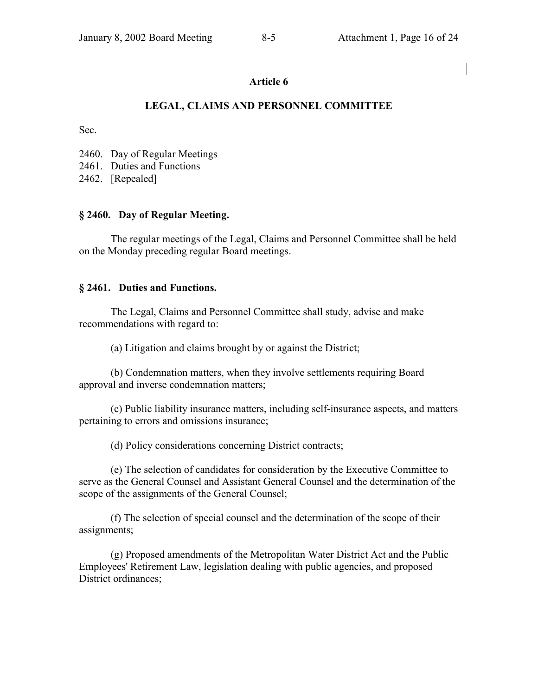### **LEGAL, CLAIMS AND PERSONNEL COMMITTEE**

Sec.

2460. Day of Regular Meetings

2461. Duties and Functions

2462. [Repealed]

#### **ß 2460. Day of Regular Meeting.**

The regular meetings of the Legal, Claims and Personnel Committee shall be held on the Monday preceding regular Board meetings.

#### **ß 2461. Duties and Functions.**

The Legal, Claims and Personnel Committee shall study, advise and make recommendations with regard to:

(a) Litigation and claims brought by or against the District;

(b) Condemnation matters, when they involve settlements requiring Board approval and inverse condemnation matters;

(c) Public liability insurance matters, including self-insurance aspects, and matters pertaining to errors and omissions insurance;

(d) Policy considerations concerning District contracts;

(e) The selection of candidates for consideration by the Executive Committee to serve as the General Counsel and Assistant General Counsel and the determination of the scope of the assignments of the General Counsel;

(f) The selection of special counsel and the determination of the scope of their assignments;

(g) Proposed amendments of the Metropolitan Water District Act and the Public Employees' Retirement Law, legislation dealing with public agencies, and proposed District ordinances;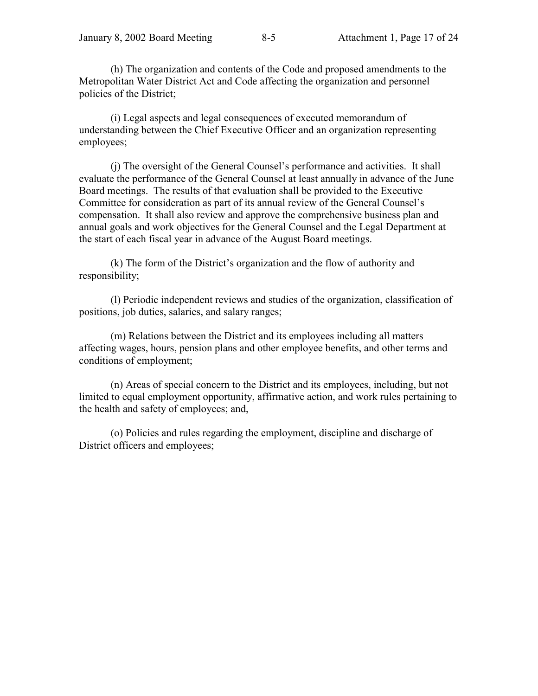(h) The organization and contents of the Code and proposed amendments to the Metropolitan Water District Act and Code affecting the organization and personnel policies of the District;

(i) Legal aspects and legal consequences of executed memorandum of understanding between the Chief Executive Officer and an organization representing employees;

(i) The oversight of the General Counsel's performance and activities. It shall evaluate the performance of the General Counsel at least annually in advance of the June Board meetings. The results of that evaluation shall be provided to the Executive Committee for consideration as part of its annual review of the General Counsel's compensation. It shall also review and approve the comprehensive business plan and annual goals and work objectives for the General Counsel and the Legal Department at the start of each fiscal year in advance of the August Board meetings.

(k) The form of the District's organization and the flow of authority and responsibility;

(l) Periodic independent reviews and studies of the organization, classification of positions, job duties, salaries, and salary ranges;

(m) Relations between the District and its employees including all matters affecting wages, hours, pension plans and other employee benefits, and other terms and conditions of employment;

(n) Areas of special concern to the District and its employees, including, but not limited to equal employment opportunity, affirmative action, and work rules pertaining to the health and safety of employees; and,

(o) Policies and rules regarding the employment, discipline and discharge of District officers and employees;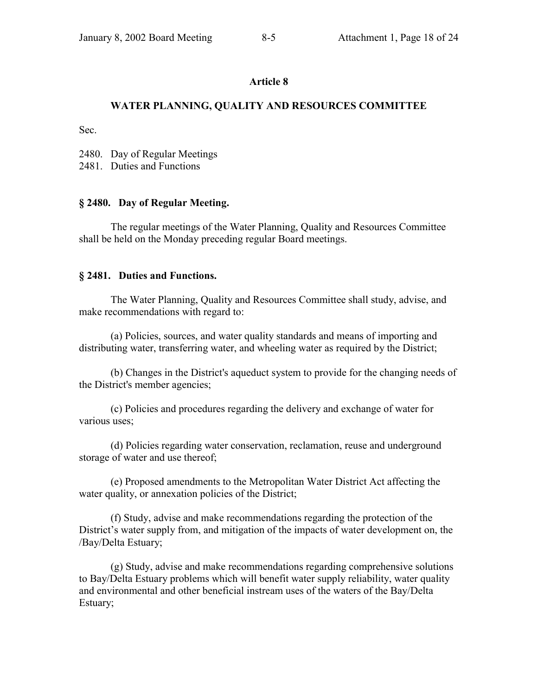# **WATER PLANNING, QUALITY AND RESOURCES COMMITTEE**

Sec.

2480. Day of Regular Meetings

2481. Duties and Functions

## **ß 2480. Day of Regular Meeting.**

The regular meetings of the Water Planning, Quality and Resources Committee shall be held on the Monday preceding regular Board meetings.

#### **ß 2481. Duties and Functions.**

The Water Planning, Quality and Resources Committee shall study, advise, and make recommendations with regard to:

(a) Policies, sources, and water quality standards and means of importing and distributing water, transferring water, and wheeling water as required by the District;

(b) Changes in the District's aqueduct system to provide for the changing needs of the District's member agencies;

(c) Policies and procedures regarding the delivery and exchange of water for various uses;

(d) Policies regarding water conservation, reclamation, reuse and underground storage of water and use thereof;

(e) Proposed amendments to the Metropolitan Water District Act affecting the water quality, or annexation policies of the District;

(f) Study, advise and make recommendations regarding the protection of the District's water supply from, and mitigation of the impacts of water development on, the /Bay/Delta Estuary;

(g) Study, advise and make recommendations regarding comprehensive solutions to Bay/Delta Estuary problems which will benefit water supply reliability, water quality and environmental and other beneficial instream uses of the waters of the Bay/Delta Estuary;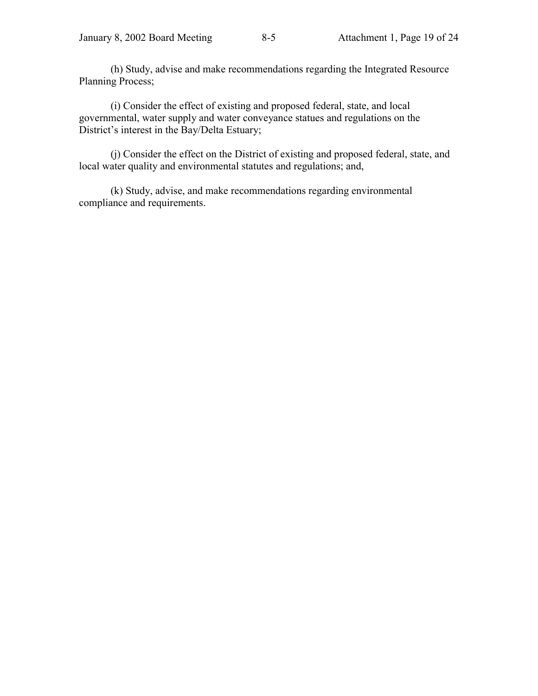(h) Study, advise and make recommendations regarding the Integrated Resource Planning Process;

(i) Consider the effect of existing and proposed federal, state, and local governmental, water supply and water conveyance statues and regulations on the District's interest in the Bay/Delta Estuary;

(j) Consider the effect on the District of existing and proposed federal, state, and local water quality and environmental statutes and regulations; and,

(k) Study, advise, and make recommendations regarding environmental compliance and requirements.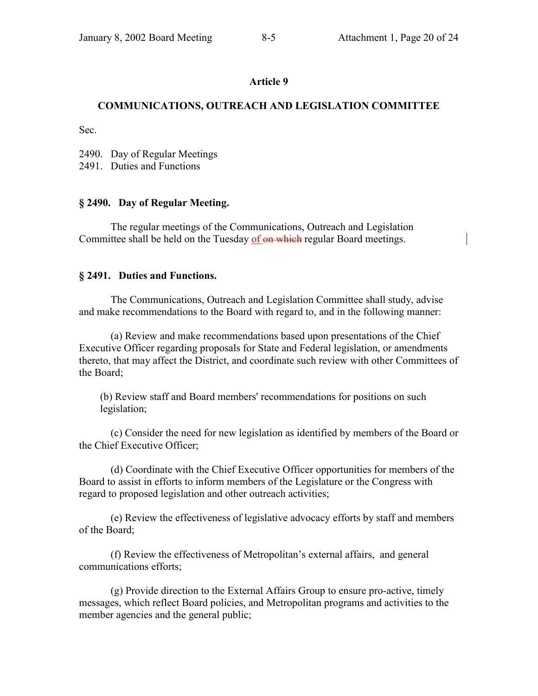## **COMMUNICATIONS, OUTREACH AND LEGISLATION COMMITTEE**

Sec.

2490. Day of Regular Meetings

2491. Duties and Functions

## **ß 2490. Day of Regular Meeting.**

The regular meetings of the Communications, Outreach and Legislation Committee shall be held on the Tuesday of on which regular Board meetings.

## **ß 2491. Duties and Functions.**

The Communications, Outreach and Legislation Committee shall study, advise and make recommendations to the Board with regard to, and in the following manner:

(a) Review and make recommendations based upon presentations of the Chief Executive Officer regarding proposals for State and Federal legislation, or amendments thereto, that may affect the District, and coordinate such review with other Committees of the Board;

(b) Review staff and Board members' recommendations for positions on such legislation;

(c) Consider the need for new legislation as identified by members of the Board or the Chief Executive Officer;

(d) Coordinate with the Chief Executive Officer opportunities for members of the Board to assist in efforts to inform members of the Legislature or the Congress with regard to proposed legislation and other outreach activities;

(e) Review the effectiveness of legislative advocacy efforts by staff and members of the Board;

(f) Review the effectiveness of Metropolitan's external affairs, and general communications efforts;

(g) Provide direction to the External Affairs Group to ensure pro-active, timely messages, which reflect Board policies, and Metropolitan programs and activities to the member agencies and the general public;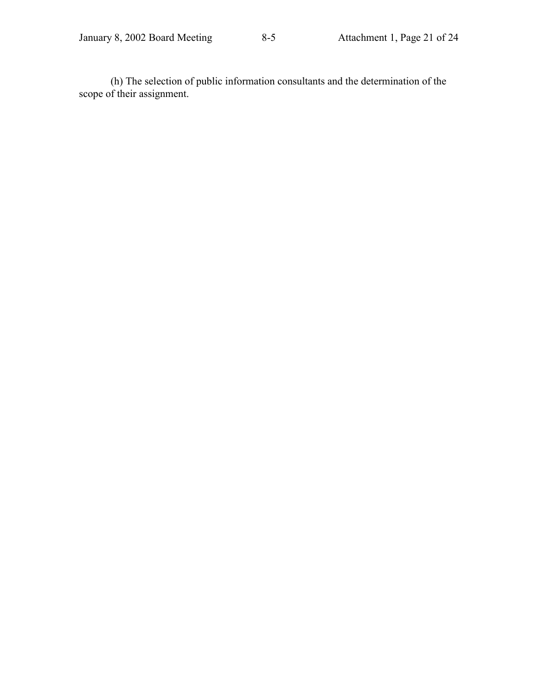(h) The selection of public information consultants and the determination of the scope of their assignment.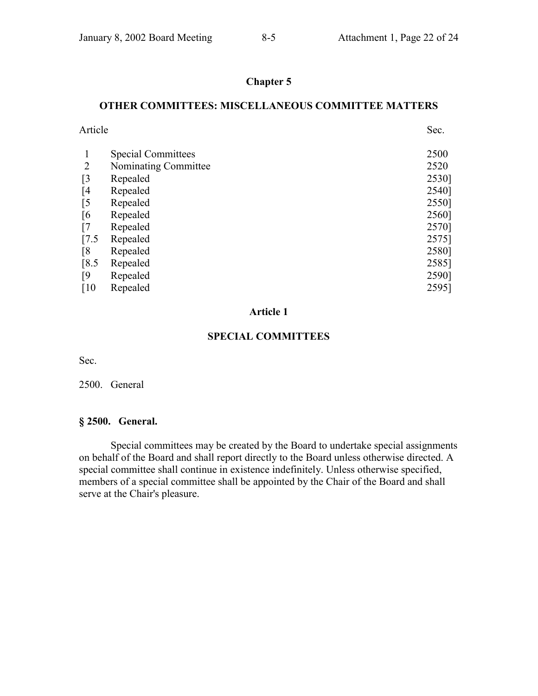# **Chapter 5**

#### **OTHER COMMITTEES: MISCELLANEOUS COMMITTEE MATTERS**

| Article            |                           | Sec.  |
|--------------------|---------------------------|-------|
|                    | <b>Special Committees</b> | 2500  |
| 2                  | Nominating Committee      | 2520  |
| [3                 | Repealed                  | 2530] |
| [4]                | Repealed                  | 2540] |
| [5                 | Repealed                  | 2550] |
| [6                 | Repealed                  | 2560] |
| $\lceil 7 \rceil$  | Repealed                  | 2570] |
| $\left[7.5\right]$ | Repealed                  | 2575] |
| [8                 | Repealed                  | 2580] |
| $\left[8.5\right]$ | Repealed                  | 2585] |
| $\lceil 9 \rceil$  | Repealed                  | 2590] |
| $\lceil 10 \rceil$ | Repealed                  | 2595] |
|                    |                           |       |

#### **Article 1**

#### **SPECIAL COMMITTEES**

Sec.

#### 2500. General

#### **ß 2500. General.**

Special committees may be created by the Board to undertake special assignments on behalf of the Board and shall report directly to the Board unless otherwise directed. A special committee shall continue in existence indefinitely. Unless otherwise specified, members of a special committee shall be appointed by the Chair of the Board and shall serve at the Chair's pleasure.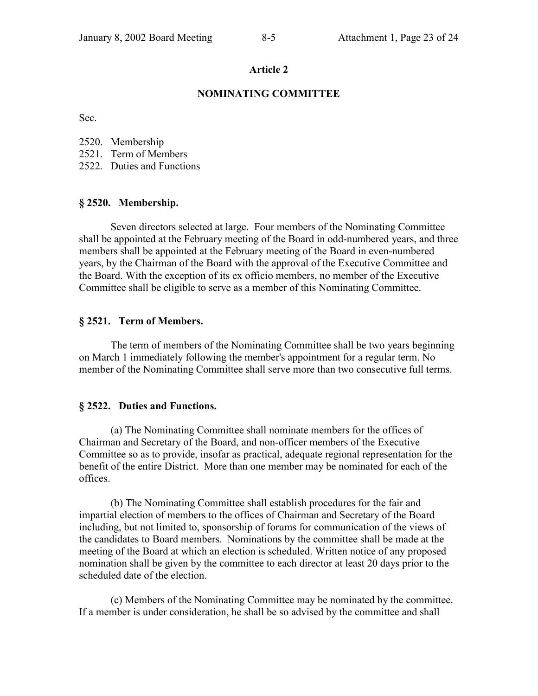#### **NOMINATING COMMITTEE**

Sec.

- 2520. Membership
- 2521. Term of Members
- 2522. Duties and Functions

#### **ß 2520. Membership.**

Seven directors selected at large. Four members of the Nominating Committee shall be appointed at the February meeting of the Board in odd-numbered years, and three members shall be appointed at the February meeting of the Board in even-numbered years, by the Chairman of the Board with the approval of the Executive Committee and the Board. With the exception of its ex officio members, no member of the Executive Committee shall be eligible to serve as a member of this Nominating Committee.

#### **ß 2521. Term of Members.**

The term of members of the Nominating Committee shall be two years beginning on March 1 immediately following the member's appointment for a regular term. No member of the Nominating Committee shall serve more than two consecutive full terms.

#### **ß 2522. Duties and Functions.**

(a) The Nominating Committee shall nominate members for the offices of Chairman and Secretary of the Board, and non-officer members of the Executive Committee so as to provide, insofar as practical, adequate regional representation for the benefit of the entire District. More than one member may be nominated for each of the offices.

(b) The Nominating Committee shall establish procedures for the fair and impartial election of members to the offices of Chairman and Secretary of the Board including, but not limited to, sponsorship of forums for communication of the views of the candidates to Board members. Nominations by the committee shall be made at the meeting of the Board at which an election is scheduled. Written notice of any proposed nomination shall be given by the committee to each director at least 20 days prior to the scheduled date of the election.

(c) Members of the Nominating Committee may be nominated by the committee. If a member is under consideration, he shall be so advised by the committee and shall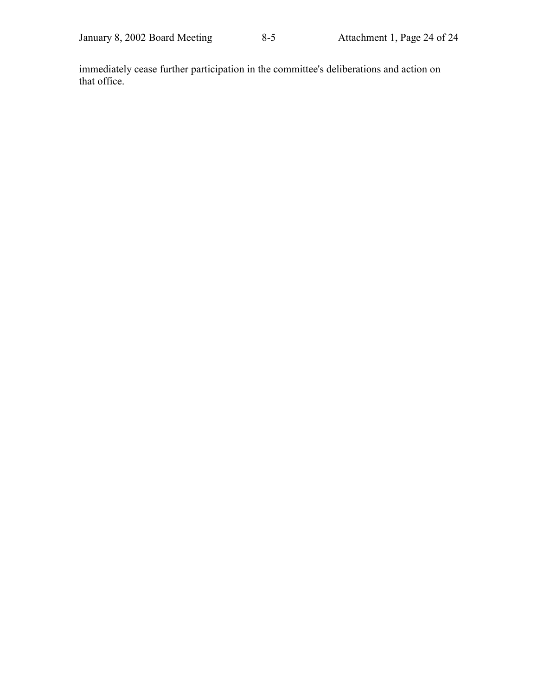immediately cease further participation in the committee's deliberations and action on that office.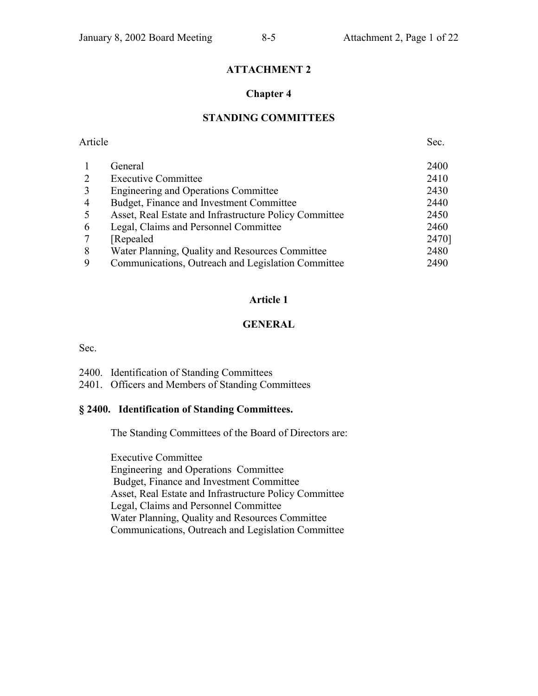# **ATTACHMENT 2**

### **Chapter 4**

# **STANDING COMMITTEES**

| Article        |                                                        | Sec.  |
|----------------|--------------------------------------------------------|-------|
|                | General                                                | 2400  |
|                | <b>Executive Committee</b>                             | 2410  |
| 3              | <b>Engineering and Operations Committee</b>            | 2430  |
| $\overline{4}$ | Budget, Finance and Investment Committee               | 2440  |
| 5              | Asset, Real Estate and Infrastructure Policy Committee | 2450  |
| 6              | Legal, Claims and Personnel Committee                  | 2460  |
|                | Repealed                                               | 2470] |
| 8              | Water Planning, Quality and Resources Committee        | 2480  |
| 9              | Communications, Outreach and Legislation Committee     | 2490  |
|                |                                                        |       |

#### **Article 1**

### **GENERAL**

Sec.

| 2400. Identification of Standing Committees |  |
|---------------------------------------------|--|
|                                             |  |

2401. Officers and Members of Standing Committees

#### **ß 2400. Identification of Standing Committees.**

The Standing Committees of the Board of Directors are:

Executive Committee Engineering and Operations Committee Budget, Finance and Investment Committee Asset, Real Estate and Infrastructure Policy Committee Legal, Claims and Personnel Committee Water Planning, Quality and Resources Committee Communications, Outreach and Legislation Committee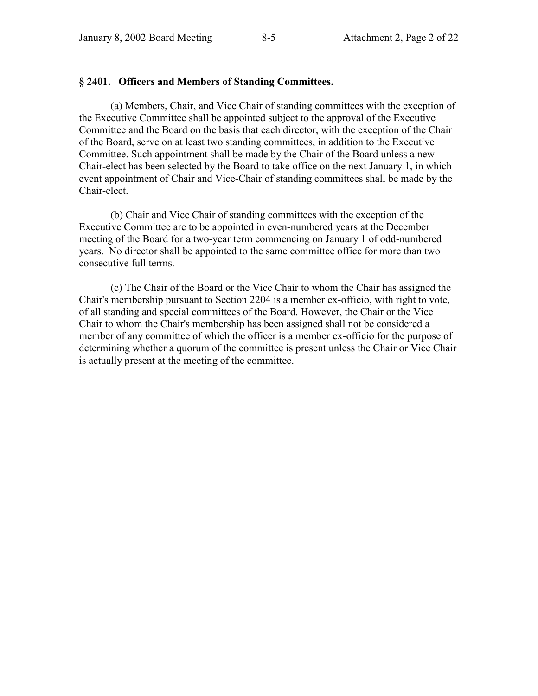#### **ß 2401. Officers and Members of Standing Committees.**

(a) Members, Chair, and Vice Chair of standing committees with the exception of the Executive Committee shall be appointed subject to the approval of the Executive Committee and the Board on the basis that each director, with the exception of the Chair of the Board, serve on at least two standing committees, in addition to the Executive Committee. Such appointment shall be made by the Chair of the Board unless a new Chair-elect has been selected by the Board to take office on the next January 1, in which event appointment of Chair and Vice-Chair of standing committees shall be made by the Chair-elect.

(b) Chair and Vice Chair of standing committees with the exception of the Executive Committee are to be appointed in even-numbered years at the December meeting of the Board for a two-year term commencing on January 1 of odd-numbered years. No director shall be appointed to the same committee office for more than two consecutive full terms.

(c) The Chair of the Board or the Vice Chair to whom the Chair has assigned the Chair's membership pursuant to Section 2204 is a member ex-officio, with right to vote, of all standing and special committees of the Board. However, the Chair or the Vice Chair to whom the Chair's membership has been assigned shall not be considered a member of any committee of which the officer is a member ex-officio for the purpose of determining whether a quorum of the committee is present unless the Chair or Vice Chair is actually present at the meeting of the committee.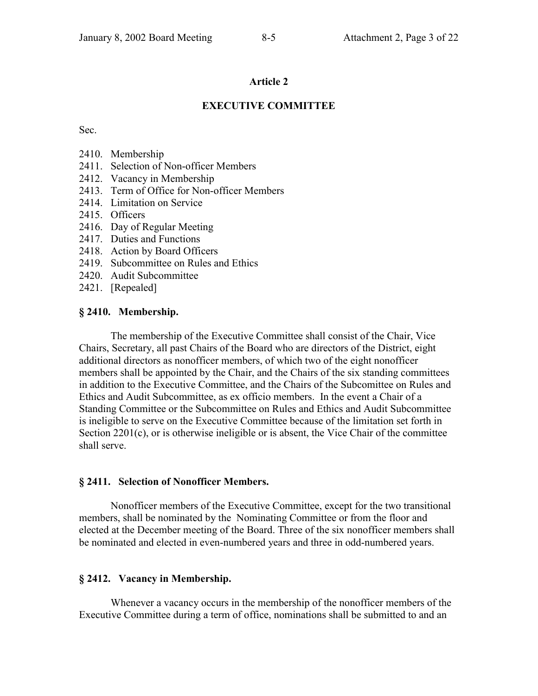#### **EXECUTIVE COMMITTEE**

Sec.

- 2410. Membership
- 2411. Selection of Non-officer Members
- 2412. Vacancy in Membership
- 2413. Term of Office for Non-officer Members
- 2414. Limitation on Service
- 2415. Officers
- 2416. Day of Regular Meeting
- 2417. Duties and Functions
- 2418. Action by Board Officers
- 2419. Subcommittee on Rules and Ethics
- 2420. Audit Subcommittee
- 2421. [Repealed]

#### **ß 2410. Membership.**

The membership of the Executive Committee shall consist of the Chair, Vice Chairs, Secretary, all past Chairs of the Board who are directors of the District, eight additional directors as nonofficer members, of which two of the eight nonofficer members shall be appointed by the Chair, and the Chairs of the six standing committees in addition to the Executive Committee, and the Chairs of the Subcomittee on Rules and Ethics and Audit Subcommittee, as ex officio members. In the event a Chair of a Standing Committee or the Subcommittee on Rules and Ethics and Audit Subcommittee is ineligible to serve on the Executive Committee because of the limitation set forth in Section 2201(c), or is otherwise ineligible or is absent, the Vice Chair of the committee shall serve.

#### **ß 2411. Selection of Nonofficer Members.**

Nonofficer members of the Executive Committee, except for the two transitional members, shall be nominated by the Nominating Committee or from the floor and elected at the December meeting of the Board. Three of the six nonofficer members shall be nominated and elected in even-numbered years and three in odd-numbered years.

#### **ß 2412. Vacancy in Membership.**

Whenever a vacancy occurs in the membership of the nonofficer members of the Executive Committee during a term of office, nominations shall be submitted to and an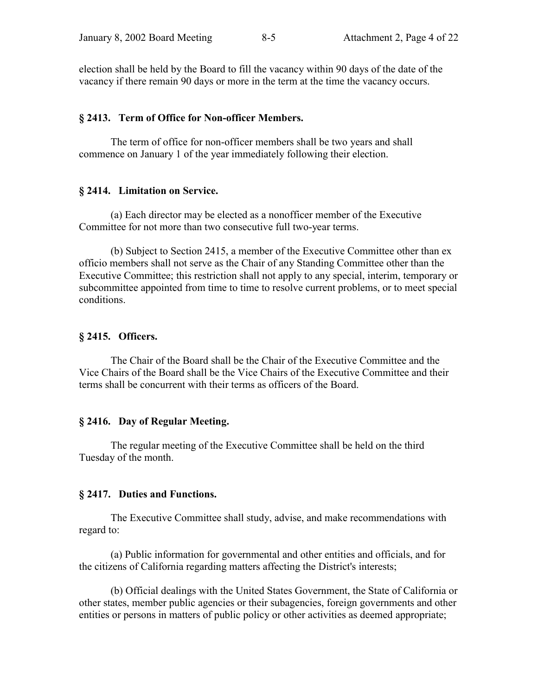election shall be held by the Board to fill the vacancy within 90 days of the date of the vacancy if there remain 90 days or more in the term at the time the vacancy occurs.

#### **ß 2413. Term of Office for Non-officer Members.**

The term of office for non-officer members shall be two years and shall commence on January 1 of the year immediately following their election.

#### **ß 2414. Limitation on Service.**

(a) Each director may be elected as a nonofficer member of the Executive Committee for not more than two consecutive full two-year terms.

(b) Subject to Section 2415, a member of the Executive Committee other than ex officio members shall not serve as the Chair of any Standing Committee other than the Executive Committee; this restriction shall not apply to any special, interim, temporary or subcommittee appointed from time to time to resolve current problems, or to meet special conditions.

#### **ß 2415. Officers.**

The Chair of the Board shall be the Chair of the Executive Committee and the Vice Chairs of the Board shall be the Vice Chairs of the Executive Committee and their terms shall be concurrent with their terms as officers of the Board.

#### **ß 2416. Day of Regular Meeting.**

The regular meeting of the Executive Committee shall be held on the third Tuesday of the month.

#### **ß 2417. Duties and Functions.**

The Executive Committee shall study, advise, and make recommendations with regard to:

(a) Public information for governmental and other entities and officials, and for the citizens of California regarding matters affecting the District's interests;

(b) Official dealings with the United States Government, the State of California or other states, member public agencies or their subagencies, foreign governments and other entities or persons in matters of public policy or other activities as deemed appropriate;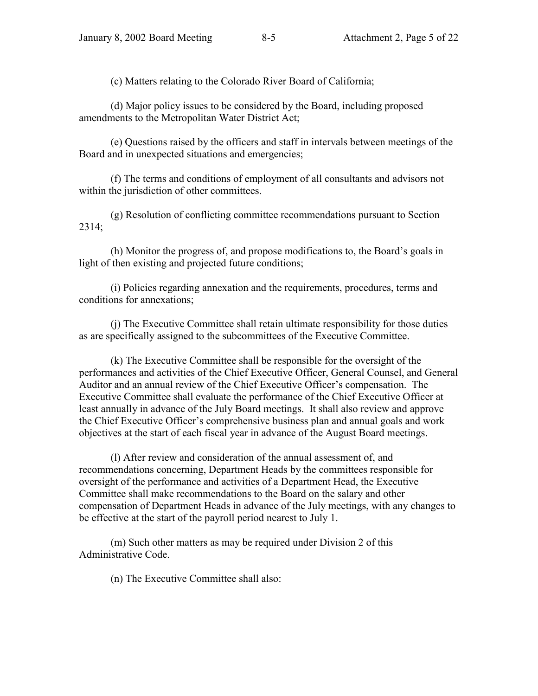(c) Matters relating to the Colorado River Board of California;

(d) Major policy issues to be considered by the Board, including proposed amendments to the Metropolitan Water District Act;

(e) Questions raised by the officers and staff in intervals between meetings of the Board and in unexpected situations and emergencies;

(f) The terms and conditions of employment of all consultants and advisors not within the jurisdiction of other committees.

(g) Resolution of conflicting committee recommendations pursuant to Section 2314;

(h) Monitor the progress of, and propose modifications to, the Board's goals in light of then existing and projected future conditions;

(i) Policies regarding annexation and the requirements, procedures, terms and conditions for annexations;

(j) The Executive Committee shall retain ultimate responsibility for those duties as are specifically assigned to the subcommittees of the Executive Committee.

(k) The Executive Committee shall be responsible for the oversight of the performances and activities of the Chief Executive Officer, General Counsel, and General Auditor and an annual review of the Chief Executive Officer's compensation. The Executive Committee shall evaluate the performance of the Chief Executive Officer at least annually in advance of the July Board meetings. It shall also review and approve the Chief Executive Officer's comprehensive business plan and annual goals and work objectives at the start of each fiscal year in advance of the August Board meetings.

(l) After review and consideration of the annual assessment of, and recommendations concerning, Department Heads by the committees responsible for oversight of the performance and activities of a Department Head, the Executive Committee shall make recommendations to the Board on the salary and other compensation of Department Heads in advance of the July meetings, with any changes to be effective at the start of the payroll period nearest to July 1.

(m) Such other matters as may be required under Division 2 of this Administrative Code.

(n) The Executive Committee shall also: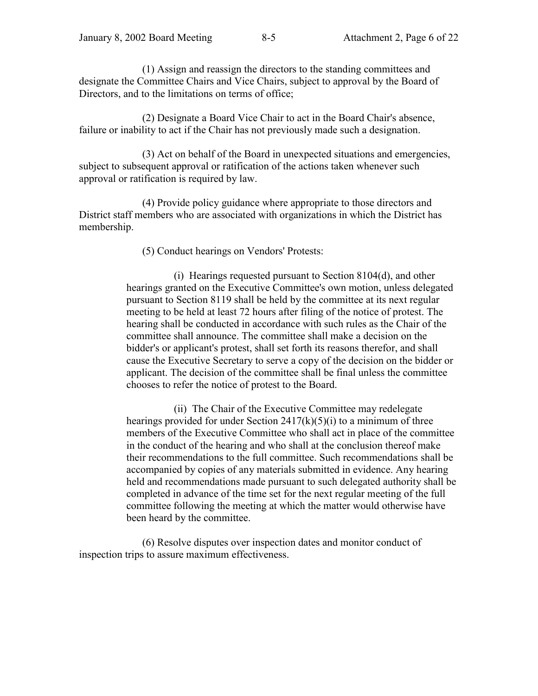(1) Assign and reassign the directors to the standing committees and designate the Committee Chairs and Vice Chairs, subject to approval by the Board of Directors, and to the limitations on terms of office;

(2) Designate a Board Vice Chair to act in the Board Chair's absence, failure or inability to act if the Chair has not previously made such a designation.

(3) Act on behalf of the Board in unexpected situations and emergencies, subject to subsequent approval or ratification of the actions taken whenever such approval or ratification is required by law.

(4) Provide policy guidance where appropriate to those directors and District staff members who are associated with organizations in which the District has membership.

(5) Conduct hearings on Vendors' Protests:

(i) Hearings requested pursuant to Section 8104(d), and other hearings granted on the Executive Committee's own motion, unless delegated pursuant to Section 8119 shall be held by the committee at its next regular meeting to be held at least 72 hours after filing of the notice of protest. The hearing shall be conducted in accordance with such rules as the Chair of the committee shall announce. The committee shall make a decision on the bidder's or applicant's protest, shall set forth its reasons therefor, and shall cause the Executive Secretary to serve a copy of the decision on the bidder or applicant. The decision of the committee shall be final unless the committee chooses to refer the notice of protest to the Board.

(ii) The Chair of the Executive Committee may redelegate hearings provided for under Section  $2417(k)(5)(i)$  to a minimum of three members of the Executive Committee who shall act in place of the committee in the conduct of the hearing and who shall at the conclusion thereof make their recommendations to the full committee. Such recommendations shall be accompanied by copies of any materials submitted in evidence. Any hearing held and recommendations made pursuant to such delegated authority shall be completed in advance of the time set for the next regular meeting of the full committee following the meeting at which the matter would otherwise have been heard by the committee.

(6) Resolve disputes over inspection dates and monitor conduct of inspection trips to assure maximum effectiveness.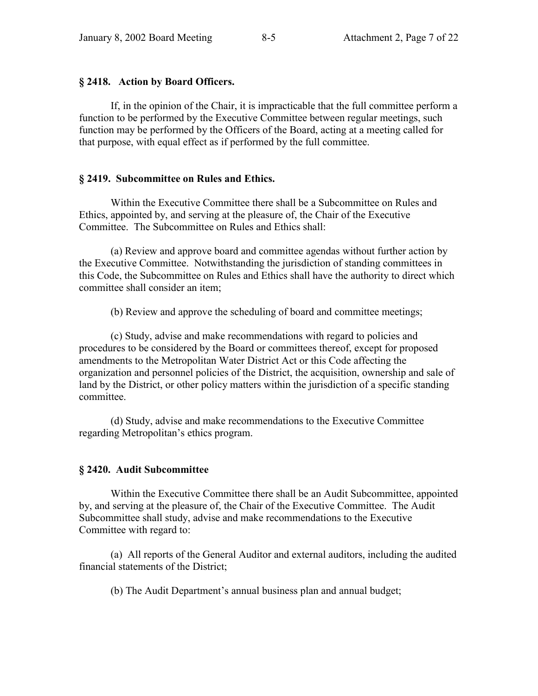#### **ß 2418. Action by Board Officers.**

If, in the opinion of the Chair, it is impracticable that the full committee perform a function to be performed by the Executive Committee between regular meetings, such function may be performed by the Officers of the Board, acting at a meeting called for that purpose, with equal effect as if performed by the full committee.

#### **ß 2419. Subcommittee on Rules and Ethics.**

Within the Executive Committee there shall be a Subcommittee on Rules and Ethics, appointed by, and serving at the pleasure of, the Chair of the Executive Committee. The Subcommittee on Rules and Ethics shall:

(a) Review and approve board and committee agendas without further action by the Executive Committee. Notwithstanding the jurisdiction of standing committees in this Code, the Subcommittee on Rules and Ethics shall have the authority to direct which committee shall consider an item;

(b) Review and approve the scheduling of board and committee meetings;

(c) Study, advise and make recommendations with regard to policies and procedures to be considered by the Board or committees thereof, except for proposed amendments to the Metropolitan Water District Act or this Code affecting the organization and personnel policies of the District, the acquisition, ownership and sale of land by the District, or other policy matters within the jurisdiction of a specific standing committee.

(d) Study, advise and make recommendations to the Executive Committee regarding Metropolitan's ethics program.

## **ß 2420. Audit Subcommittee**

Within the Executive Committee there shall be an Audit Subcommittee, appointed by, and serving at the pleasure of, the Chair of the Executive Committee. The Audit Subcommittee shall study, advise and make recommendations to the Executive Committee with regard to:

(a) All reports of the General Auditor and external auditors, including the audited financial statements of the District;

(b) The Audit Department's annual business plan and annual budget;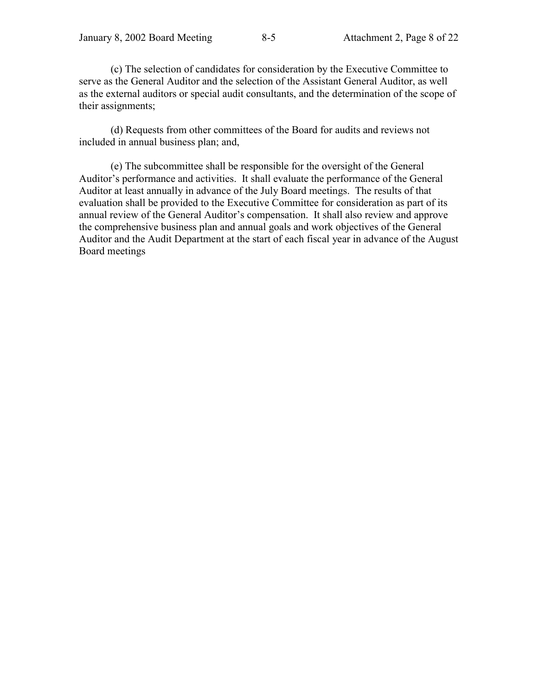(c) The selection of candidates for consideration by the Executive Committee to serve as the General Auditor and the selection of the Assistant General Auditor, as well as the external auditors or special audit consultants, and the determination of the scope of their assignments;

(d) Requests from other committees of the Board for audits and reviews not included in annual business plan; and,

(e) The subcommittee shall be responsible for the oversight of the General Auditor's performance and activities. It shall evaluate the performance of the General Auditor at least annually in advance of the July Board meetings. The results of that evaluation shall be provided to the Executive Committee for consideration as part of its annual review of the General Auditor's compensation. It shall also review and approve the comprehensive business plan and annual goals and work objectives of the General Auditor and the Audit Department at the start of each fiscal year in advance of the August Board meetings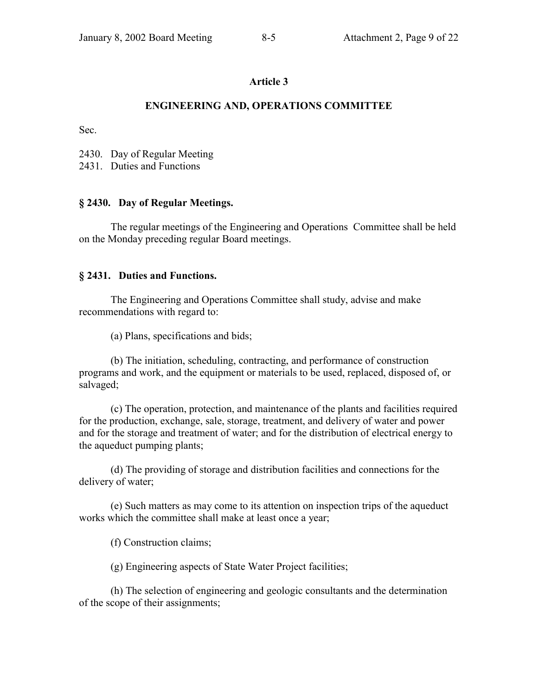# **ENGINEERING AND, OPERATIONS COMMITTEE**

Sec.

2430. Day of Regular Meeting

2431. Duties and Functions

## **ß 2430. Day of Regular Meetings.**

The regular meetings of the Engineering and Operations Committee shall be held on the Monday preceding regular Board meetings.

## **ß 2431. Duties and Functions.**

The Engineering and Operations Committee shall study, advise and make recommendations with regard to:

(a) Plans, specifications and bids;

(b) The initiation, scheduling, contracting, and performance of construction programs and work, and the equipment or materials to be used, replaced, disposed of, or salvaged;

(c) The operation, protection, and maintenance of the plants and facilities required for the production, exchange, sale, storage, treatment, and delivery of water and power and for the storage and treatment of water; and for the distribution of electrical energy to the aqueduct pumping plants;

(d) The providing of storage and distribution facilities and connections for the delivery of water;

(e) Such matters as may come to its attention on inspection trips of the aqueduct works which the committee shall make at least once a year;

(f) Construction claims;

(g) Engineering aspects of State Water Project facilities;

(h) The selection of engineering and geologic consultants and the determination of the scope of their assignments;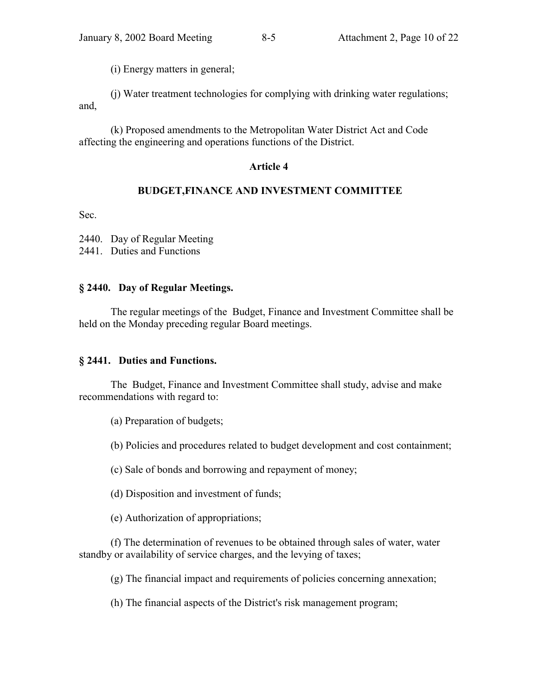(i) Energy matters in general;

(j) Water treatment technologies for complying with drinking water regulations; and,

(k) Proposed amendments to the Metropolitan Water District Act and Code affecting the engineering and operations functions of the District.

## **Article 4**

# **BUDGET,FINANCE AND INVESTMENT COMMITTEE**

Sec.

2440. Day of Regular Meeting

2441. Duties and Functions

# **ß 2440. Day of Regular Meetings.**

The regular meetings of the Budget, Finance and Investment Committee shall be held on the Monday preceding regular Board meetings.

## **ß 2441. Duties and Functions.**

The Budget, Finance and Investment Committee shall study, advise and make recommendations with regard to:

(a) Preparation of budgets;

(b) Policies and procedures related to budget development and cost containment;

(c) Sale of bonds and borrowing and repayment of money;

(d) Disposition and investment of funds;

(e) Authorization of appropriations;

(f) The determination of revenues to be obtained through sales of water, water standby or availability of service charges, and the levying of taxes;

(g) The financial impact and requirements of policies concerning annexation;

(h) The financial aspects of the District's risk management program;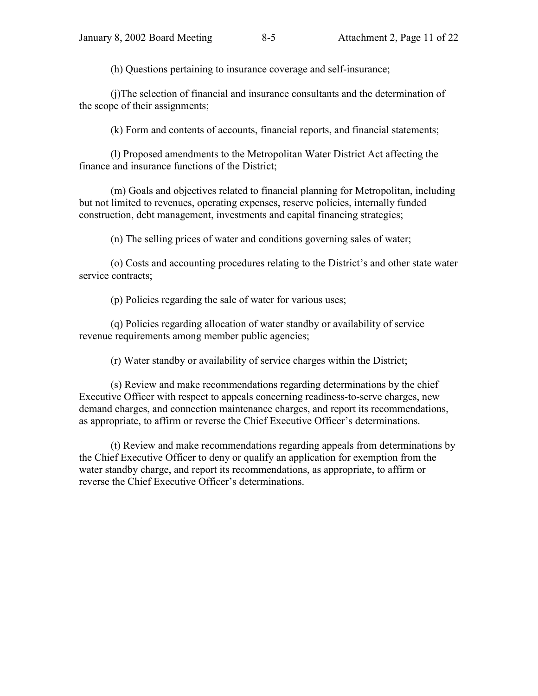(h) Questions pertaining to insurance coverage and self-insurance;

(j)The selection of financial and insurance consultants and the determination of the scope of their assignments;

(k) Form and contents of accounts, financial reports, and financial statements;

(l) Proposed amendments to the Metropolitan Water District Act affecting the finance and insurance functions of the District;

(m) Goals and objectives related to financial planning for Metropolitan, including but not limited to revenues, operating expenses, reserve policies, internally funded construction, debt management, investments and capital financing strategies;

(n) The selling prices of water and conditions governing sales of water;

(o) Costs and accounting procedures relating to the District's and other state water service contracts;

(p) Policies regarding the sale of water for various uses;

(q) Policies regarding allocation of water standby or availability of service revenue requirements among member public agencies;

(r) Water standby or availability of service charges within the District;

(s) Review and make recommendations regarding determinations by the chief Executive Officer with respect to appeals concerning readiness-to-serve charges, new demand charges, and connection maintenance charges, and report its recommendations, as appropriate, to affirm or reverse the Chief Executive Officer's determinations.

(t) Review and make recommendations regarding appeals from determinations by the Chief Executive Officer to deny or qualify an application for exemption from the water standby charge, and report its recommendations, as appropriate, to affirm or reverse the Chief Executive Officer's determinations.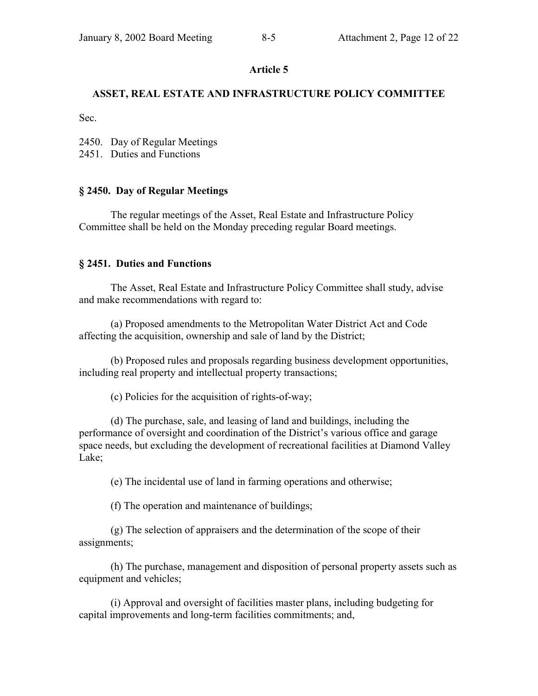### **ASSET, REAL ESTATE AND INFRASTRUCTURE POLICY COMMITTEE**

Sec.

2450. Day of Regular Meetings

2451. Duties and Functions

#### **ß 2450. Day of Regular Meetings**

The regular meetings of the Asset, Real Estate and Infrastructure Policy Committee shall be held on the Monday preceding regular Board meetings.

#### **ß 2451. Duties and Functions**

The Asset, Real Estate and Infrastructure Policy Committee shall study, advise and make recommendations with regard to:

(a) Proposed amendments to the Metropolitan Water District Act and Code affecting the acquisition, ownership and sale of land by the District;

(b) Proposed rules and proposals regarding business development opportunities, including real property and intellectual property transactions;

(c) Policies for the acquisition of rights-of-way;

(d) The purchase, sale, and leasing of land and buildings, including the performance of oversight and coordination of the District's various office and garage space needs, but excluding the development of recreational facilities at Diamond Valley Lake;

(e) The incidental use of land in farming operations and otherwise;

(f) The operation and maintenance of buildings;

(g) The selection of appraisers and the determination of the scope of their assignments;

(h) The purchase, management and disposition of personal property assets such as equipment and vehicles;

(i) Approval and oversight of facilities master plans, including budgeting for capital improvements and long-term facilities commitments; and,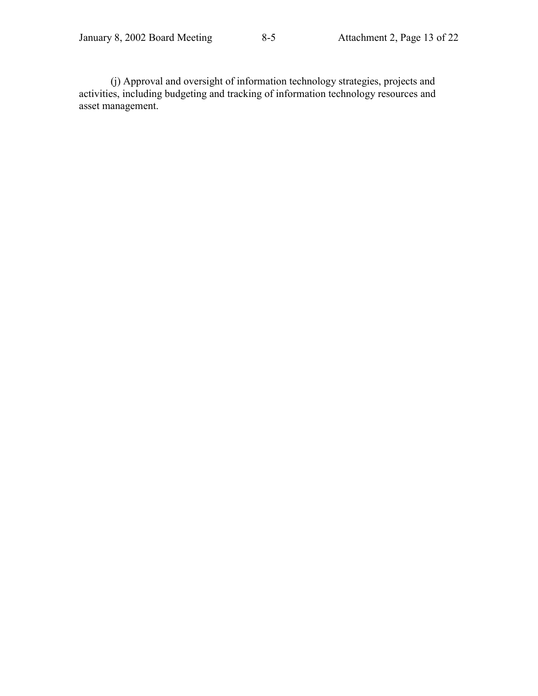(j) Approval and oversight of information technology strategies, projects and activities, including budgeting and tracking of information technology resources and asset management.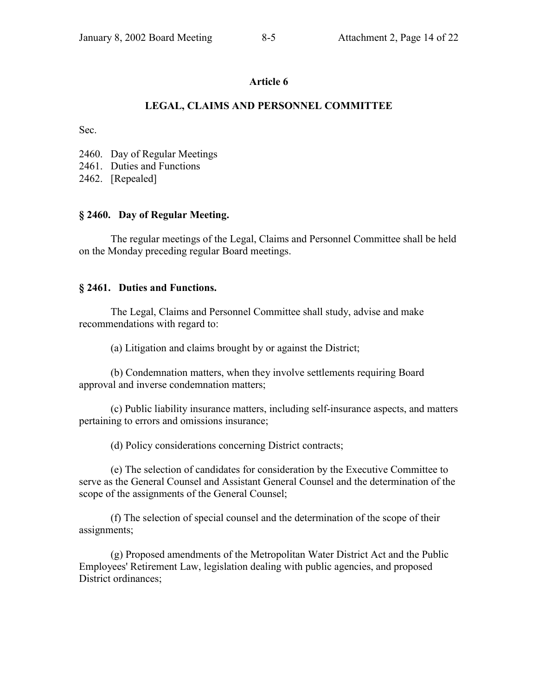## **LEGAL, CLAIMS AND PERSONNEL COMMITTEE**

Sec.

2460. Day of Regular Meetings

2461. Duties and Functions

2462. [Repealed]

#### **ß 2460. Day of Regular Meeting.**

The regular meetings of the Legal, Claims and Personnel Committee shall be held on the Monday preceding regular Board meetings.

#### **ß 2461. Duties and Functions.**

The Legal, Claims and Personnel Committee shall study, advise and make recommendations with regard to:

(a) Litigation and claims brought by or against the District;

(b) Condemnation matters, when they involve settlements requiring Board approval and inverse condemnation matters;

(c) Public liability insurance matters, including self-insurance aspects, and matters pertaining to errors and omissions insurance;

(d) Policy considerations concerning District contracts;

(e) The selection of candidates for consideration by the Executive Committee to serve as the General Counsel and Assistant General Counsel and the determination of the scope of the assignments of the General Counsel;

(f) The selection of special counsel and the determination of the scope of their assignments;

(g) Proposed amendments of the Metropolitan Water District Act and the Public Employees' Retirement Law, legislation dealing with public agencies, and proposed District ordinances;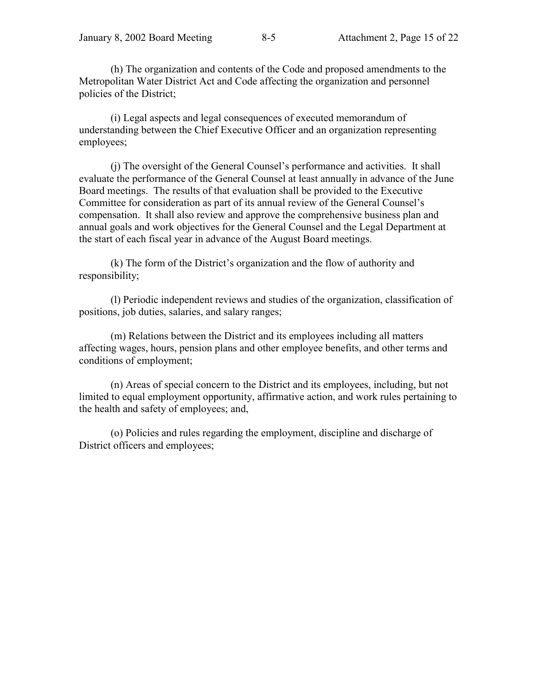(h) The organization and contents of the Code and proposed amendments to the Metropolitan Water District Act and Code affecting the organization and personnel policies of the District;

(i) Legal aspects and legal consequences of executed memorandum of understanding between the Chief Executive Officer and an organization representing employees;

(i) The oversight of the General Counsel's performance and activities. It shall evaluate the performance of the General Counsel at least annually in advance of the June Board meetings. The results of that evaluation shall be provided to the Executive Committee for consideration as part of its annual review of the General Counsel's compensation. It shall also review and approve the comprehensive business plan and annual goals and work objectives for the General Counsel and the Legal Department at the start of each fiscal year in advance of the August Board meetings.

(k) The form of the District's organization and the flow of authority and responsibility;

(l) Periodic independent reviews and studies of the organization, classification of positions, job duties, salaries, and salary ranges;

(m) Relations between the District and its employees including all matters affecting wages, hours, pension plans and other employee benefits, and other terms and conditions of employment;

(n) Areas of special concern to the District and its employees, including, but not limited to equal employment opportunity, affirmative action, and work rules pertaining to the health and safety of employees; and,

(o) Policies and rules regarding the employment, discipline and discharge of District officers and employees;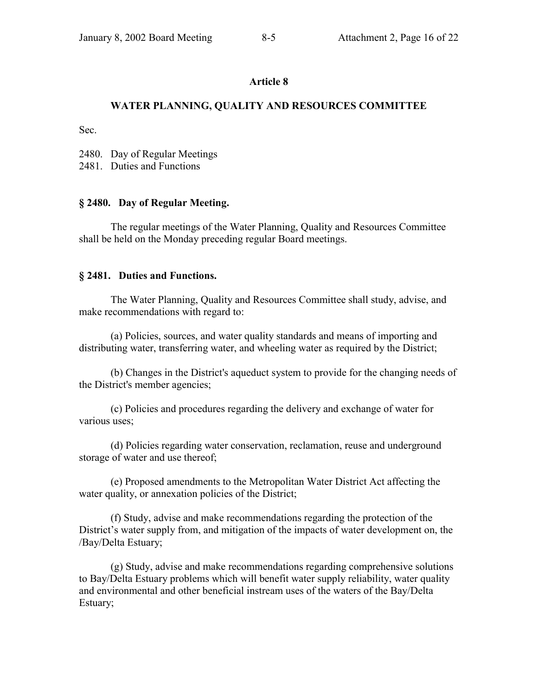## **WATER PLANNING, QUALITY AND RESOURCES COMMITTEE**

Sec.

2480. Day of Regular Meetings

2481. Duties and Functions

## **ß 2480. Day of Regular Meeting.**

The regular meetings of the Water Planning, Quality and Resources Committee shall be held on the Monday preceding regular Board meetings.

#### **ß 2481. Duties and Functions.**

The Water Planning, Quality and Resources Committee shall study, advise, and make recommendations with regard to:

(a) Policies, sources, and water quality standards and means of importing and distributing water, transferring water, and wheeling water as required by the District;

(b) Changes in the District's aqueduct system to provide for the changing needs of the District's member agencies;

(c) Policies and procedures regarding the delivery and exchange of water for various uses;

(d) Policies regarding water conservation, reclamation, reuse and underground storage of water and use thereof;

(e) Proposed amendments to the Metropolitan Water District Act affecting the water quality, or annexation policies of the District;

(f) Study, advise and make recommendations regarding the protection of the District's water supply from, and mitigation of the impacts of water development on, the /Bay/Delta Estuary;

(g) Study, advise and make recommendations regarding comprehensive solutions to Bay/Delta Estuary problems which will benefit water supply reliability, water quality and environmental and other beneficial instream uses of the waters of the Bay/Delta Estuary;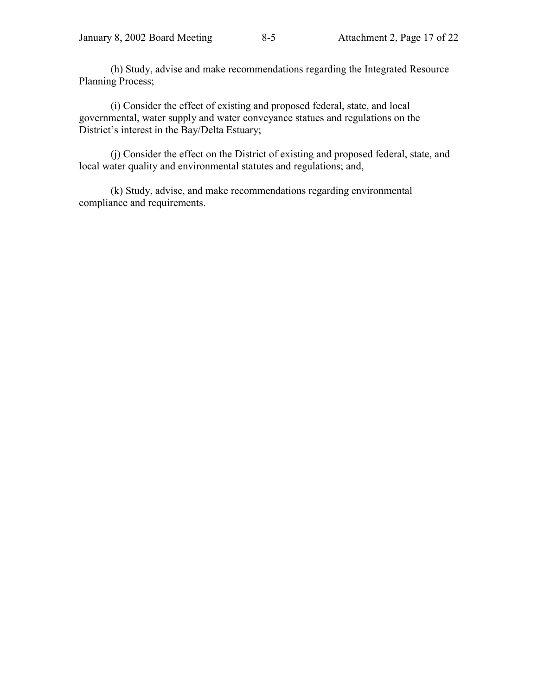(h) Study, advise and make recommendations regarding the Integrated Resource Planning Process;

(i) Consider the effect of existing and proposed federal, state, and local governmental, water supply and water conveyance statues and regulations on the District's interest in the Bay/Delta Estuary;

(j) Consider the effect on the District of existing and proposed federal, state, and local water quality and environmental statutes and regulations; and,

(k) Study, advise, and make recommendations regarding environmental compliance and requirements.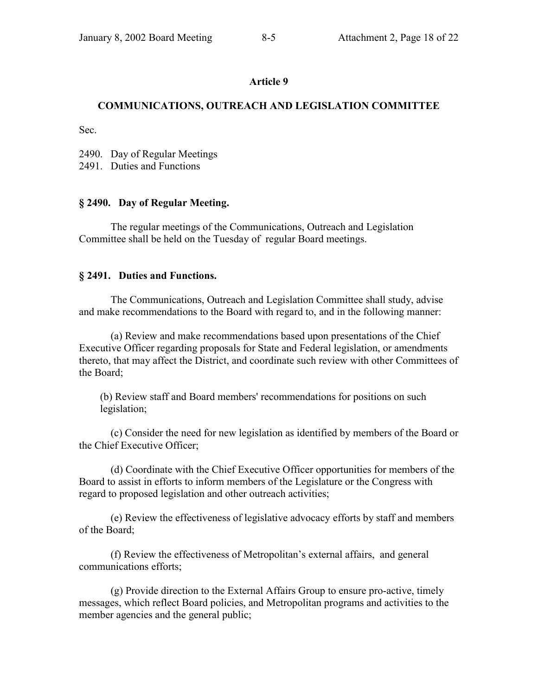## **COMMUNICATIONS, OUTREACH AND LEGISLATION COMMITTEE**

Sec.

2490. Day of Regular Meetings

2491. Duties and Functions

## **ß 2490. Day of Regular Meeting.**

The regular meetings of the Communications, Outreach and Legislation Committee shall be held on the Tuesday of regular Board meetings.

## **ß 2491. Duties and Functions.**

The Communications, Outreach and Legislation Committee shall study, advise and make recommendations to the Board with regard to, and in the following manner:

(a) Review and make recommendations based upon presentations of the Chief Executive Officer regarding proposals for State and Federal legislation, or amendments thereto, that may affect the District, and coordinate such review with other Committees of the Board;

(b) Review staff and Board members' recommendations for positions on such legislation;

(c) Consider the need for new legislation as identified by members of the Board or the Chief Executive Officer;

(d) Coordinate with the Chief Executive Officer opportunities for members of the Board to assist in efforts to inform members of the Legislature or the Congress with regard to proposed legislation and other outreach activities;

(e) Review the effectiveness of legislative advocacy efforts by staff and members of the Board;

(f) Review the effectiveness of Metropolitan's external affairs, and general communications efforts;

(g) Provide direction to the External Affairs Group to ensure pro-active, timely messages, which reflect Board policies, and Metropolitan programs and activities to the member agencies and the general public;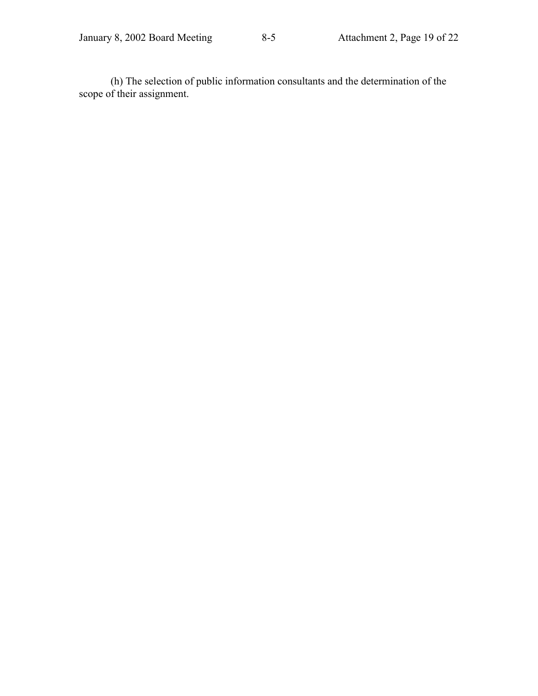(h) The selection of public information consultants and the determination of the scope of their assignment.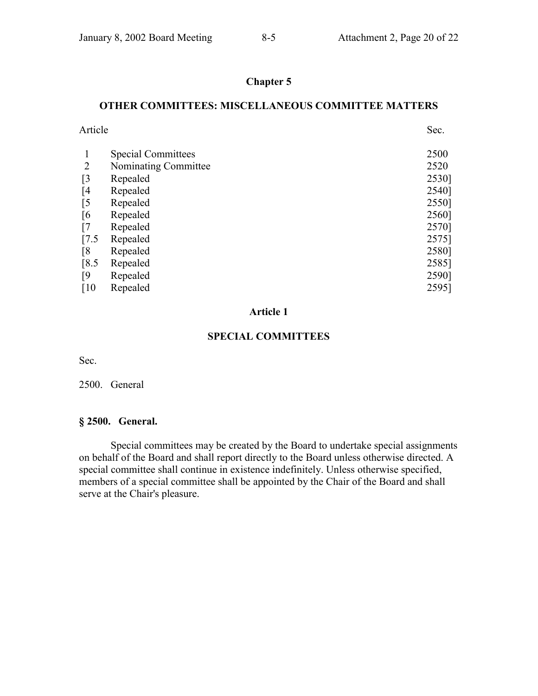# **Chapter 5**

#### **OTHER COMMITTEES: MISCELLANEOUS COMMITTEE MATTERS**

| Article                   | Sec.  |
|---------------------------|-------|
| <b>Special Committees</b> | 2500  |
| Nominating Committee      | 2520  |
| Repealed                  | 2530] |
| Repealed                  | 2540] |
| Repealed                  | 2550] |
| Repealed                  | 2560] |
| Repealed                  | 2570] |
| Repealed                  | 2575] |
| Repealed                  | 2580] |
| Repealed                  | 2585] |
| Repealed                  | 2590] |
| Repealed                  | 2595] |
|                           |       |

#### **Article 1**

## **SPECIAL COMMITTEES**

Sec.

#### 2500. General

#### **ß 2500. General.**

Special committees may be created by the Board to undertake special assignments on behalf of the Board and shall report directly to the Board unless otherwise directed. A special committee shall continue in existence indefinitely. Unless otherwise specified, members of a special committee shall be appointed by the Chair of the Board and shall serve at the Chair's pleasure.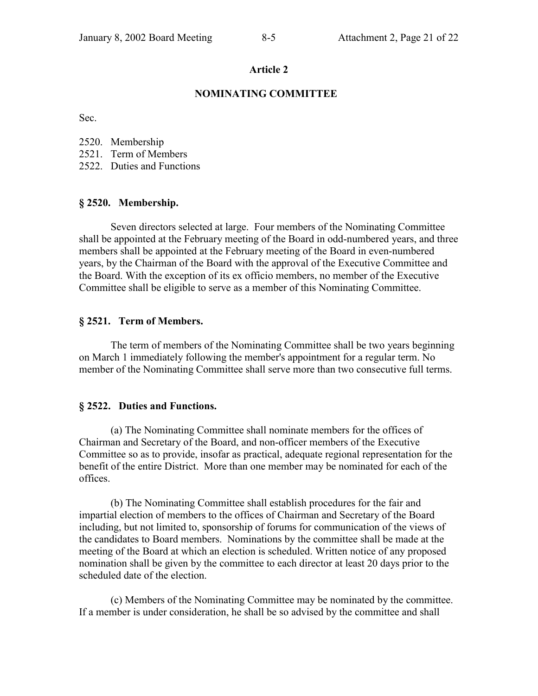#### **NOMINATING COMMITTEE**

Sec.

- 2520. Membership
- 2521. Term of Members
- 2522. Duties and Functions

#### **ß 2520. Membership.**

Seven directors selected at large. Four members of the Nominating Committee shall be appointed at the February meeting of the Board in odd-numbered years, and three members shall be appointed at the February meeting of the Board in even-numbered years, by the Chairman of the Board with the approval of the Executive Committee and the Board. With the exception of its ex officio members, no member of the Executive Committee shall be eligible to serve as a member of this Nominating Committee.

#### **ß 2521. Term of Members.**

The term of members of the Nominating Committee shall be two years beginning on March 1 immediately following the member's appointment for a regular term. No member of the Nominating Committee shall serve more than two consecutive full terms.

#### **ß 2522. Duties and Functions.**

(a) The Nominating Committee shall nominate members for the offices of Chairman and Secretary of the Board, and non-officer members of the Executive Committee so as to provide, insofar as practical, adequate regional representation for the benefit of the entire District. More than one member may be nominated for each of the offices.

(b) The Nominating Committee shall establish procedures for the fair and impartial election of members to the offices of Chairman and Secretary of the Board including, but not limited to, sponsorship of forums for communication of the views of the candidates to Board members. Nominations by the committee shall be made at the meeting of the Board at which an election is scheduled. Written notice of any proposed nomination shall be given by the committee to each director at least 20 days prior to the scheduled date of the election.

(c) Members of the Nominating Committee may be nominated by the committee. If a member is under consideration, he shall be so advised by the committee and shall